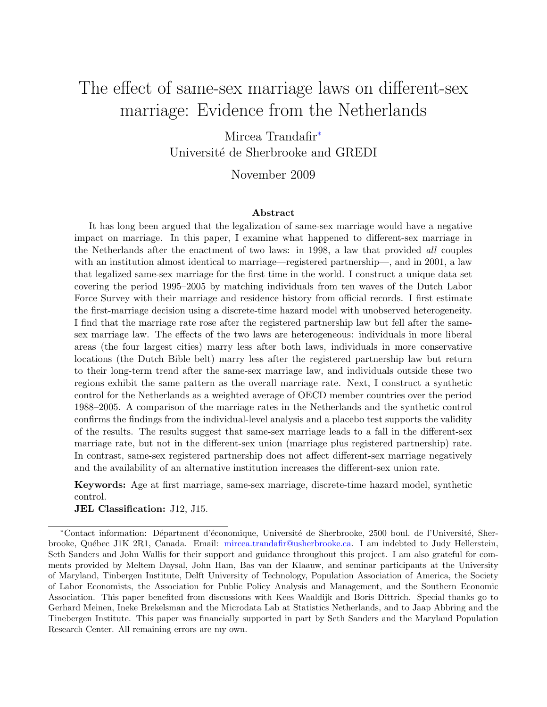# The effect of same-sex marriage laws on different-sex marriage: Evidence from the Netherlands

Mircea Trandafir[∗](#page-0-0) Université de Sherbrooke and GREDI

November 2009

#### Abstract

It has long been argued that the legalization of same-sex marriage would have a negative impact on marriage. In this paper, I examine what happened to different-sex marriage in the Netherlands after the enactment of two laws: in 1998, a law that provided all couples with an institution almost identical to marriage—registered partnership—, and in 2001, a law that legalized same-sex marriage for the first time in the world. I construct a unique data set covering the period 1995–2005 by matching individuals from ten waves of the Dutch Labor Force Survey with their marriage and residence history from official records. I first estimate the first-marriage decision using a discrete-time hazard model with unobserved heterogeneity. I find that the marriage rate rose after the registered partnership law but fell after the samesex marriage law. The effects of the two laws are heterogeneous: individuals in more liberal areas (the four largest cities) marry less after both laws, individuals in more conservative locations (the Dutch Bible belt) marry less after the registered partnership law but return to their long-term trend after the same-sex marriage law, and individuals outside these two regions exhibit the same pattern as the overall marriage rate. Next, I construct a synthetic control for the Netherlands as a weighted average of OECD member countries over the period 1988–2005. A comparison of the marriage rates in the Netherlands and the synthetic control confirms the findings from the individual-level analysis and a placebo test supports the validity of the results. The results suggest that same-sex marriage leads to a fall in the different-sex marriage rate, but not in the different-sex union (marriage plus registered partnership) rate. In contrast, same-sex registered partnership does not affect different-sex marriage negatively and the availability of an alternative institution increases the different-sex union rate.

Keywords: Age at first marriage, same-sex marriage, discrete-time hazard model, synthetic control.

JEL Classification: J12, J15.

<span id="page-0-0"></span><sup>\*</sup>Contact information: Départment d'économique, Université de Sherbrooke, 2500 boul. de l'Université, Sherbrooke, Qu´ebec J1K 2R1, Canada. Email: [mircea.trandafir@usherbrooke.ca.](mailto:mircea.trandafir@usherbrooke.ca) I am indebted to Judy Hellerstein, Seth Sanders and John Wallis for their support and guidance throughout this project. I am also grateful for comments provided by Meltem Daysal, John Ham, Bas van der Klaauw, and seminar participants at the University of Maryland, Tinbergen Institute, Delft University of Technology, Population Association of America, the Society of Labor Economists, the Association for Public Policy Analysis and Management, and the Southern Economic Association. This paper benefited from discussions with Kees Waaldijk and Boris Dittrich. Special thanks go to Gerhard Meinen, Ineke Brekelsman and the Microdata Lab at Statistics Netherlands, and to Jaap Abbring and the Tinebergen Institute. This paper was financially supported in part by Seth Sanders and the Maryland Population Research Center. All remaining errors are my own.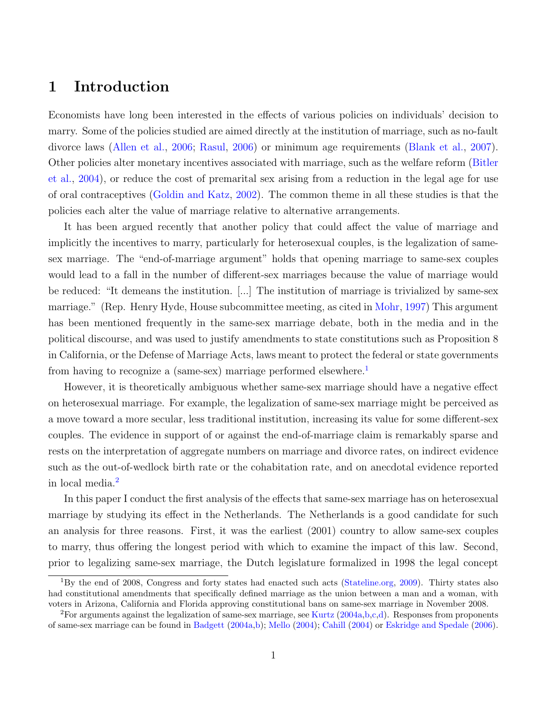# 1 Introduction

Economists have long been interested in the effects of various policies on individuals' decision to marry. Some of the policies studied are aimed directly at the institution of marriage, such as no-fault divorce laws [\(Allen et al.,](#page-33-0) [2006;](#page-33-0) [Rasul,](#page-35-0) [2006\)](#page-35-0) or minimum age requirements [\(Blank et al.,](#page-33-1) [2007\)](#page-33-1). Other policies alter monetary incentives associated with marriage, such as the welfare reform [\(Bitler](#page-33-2) [et al.,](#page-33-2) [2004\)](#page-33-2), or reduce the cost of premarital sex arising from a reduction in the legal age for use of oral contraceptives [\(Goldin and Katz,](#page-34-0) [2002\)](#page-34-0). The common theme in all these studies is that the policies each alter the value of marriage relative to alternative arrangements.

It has been argued recently that another policy that could affect the value of marriage and implicitly the incentives to marry, particularly for heterosexual couples, is the legalization of samesex marriage. The "end-of-marriage argument" holds that opening marriage to same-sex couples would lead to a fall in the number of different-sex marriages because the value of marriage would be reduced: "It demeans the institution. [...] The institution of marriage is trivialized by same-sex marriage." (Rep. Henry Hyde, House subcommittee meeting, as cited in [Mohr,](#page-35-1) [1997\)](#page-35-1) This argument has been mentioned frequently in the same-sex marriage debate, both in the media and in the political discourse, and was used to justify amendments to state constitutions such as Proposition 8 in California, or the Defense of Marriage Acts, laws meant to protect the federal or state governments from having to recognize a (same-sex) marriage performed elsewhere.<sup>[1](#page-1-0)</sup>

However, it is theoretically ambiguous whether same-sex marriage should have a negative effect on heterosexual marriage. For example, the legalization of same-sex marriage might be perceived as a move toward a more secular, less traditional institution, increasing its value for some different-sex couples. The evidence in support of or against the end-of-marriage claim is remarkably sparse and rests on the interpretation of aggregate numbers on marriage and divorce rates, on indirect evidence such as the out-of-wedlock birth rate or the cohabitation rate, and on anecdotal evidence reported in local media.[2](#page-1-1)

In this paper I conduct the first analysis of the effects that same-sex marriage has on heterosexual marriage by studying its effect in the Netherlands. The Netherlands is a good candidate for such an analysis for three reasons. First, it was the earliest (2001) country to allow same-sex couples to marry, thus offering the longest period with which to examine the impact of this law. Second, prior to legalizing same-sex marriage, the Dutch legislature formalized in 1998 the legal concept

<span id="page-1-0"></span><sup>1</sup>By the end of 2008, Congress and forty states had enacted such acts [\(Stateline.org,](#page-35-2) [2009\)](#page-35-2). Thirty states also had constitutional amendments that specifically defined marriage as the union between a man and a woman, with voters in Arizona, California and Florida approving constitutional bans on same-sex marriage in November 2008.

<span id="page-1-1"></span><sup>&</sup>lt;sup>2</sup>For arguments against the legalization of same-sex marriage, see [Kurtz](#page-34-1) [\(2004a,](#page-34-1)[b,](#page-34-2)[c,](#page-34-3)[d\)](#page-34-4). Responses from proponents of same-sex marriage can be found in [Badgett](#page-33-3) [\(2004a,](#page-33-3)[b\)](#page-33-4); [Mello](#page-34-5) [\(2004\)](#page-34-5); [Cahill](#page-33-5) [\(2004\)](#page-33-5) or [Eskridge and Spedale](#page-34-6) [\(2006\)](#page-34-6).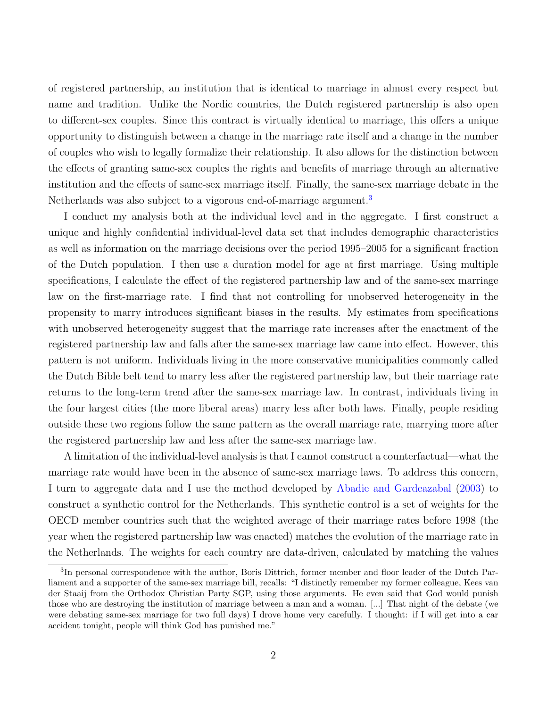of registered partnership, an institution that is identical to marriage in almost every respect but name and tradition. Unlike the Nordic countries, the Dutch registered partnership is also open to different-sex couples. Since this contract is virtually identical to marriage, this offers a unique opportunity to distinguish between a change in the marriage rate itself and a change in the number of couples who wish to legally formalize their relationship. It also allows for the distinction between the effects of granting same-sex couples the rights and benefits of marriage through an alternative institution and the effects of same-sex marriage itself. Finally, the same-sex marriage debate in the Netherlands was also subject to a vigorous end-of-marriage argument.<sup>[3](#page-2-0)</sup>

I conduct my analysis both at the individual level and in the aggregate. I first construct a unique and highly confidential individual-level data set that includes demographic characteristics as well as information on the marriage decisions over the period 1995–2005 for a significant fraction of the Dutch population. I then use a duration model for age at first marriage. Using multiple specifications, I calculate the effect of the registered partnership law and of the same-sex marriage law on the first-marriage rate. I find that not controlling for unobserved heterogeneity in the propensity to marry introduces significant biases in the results. My estimates from specifications with unobserved heterogeneity suggest that the marriage rate increases after the enactment of the registered partnership law and falls after the same-sex marriage law came into effect. However, this pattern is not uniform. Individuals living in the more conservative municipalities commonly called the Dutch Bible belt tend to marry less after the registered partnership law, but their marriage rate returns to the long-term trend after the same-sex marriage law. In contrast, individuals living in the four largest cities (the more liberal areas) marry less after both laws. Finally, people residing outside these two regions follow the same pattern as the overall marriage rate, marrying more after the registered partnership law and less after the same-sex marriage law.

A limitation of the individual-level analysis is that I cannot construct a counterfactual—what the marriage rate would have been in the absence of same-sex marriage laws. To address this concern, I turn to aggregate data and I use the method developed by [Abadie and Gardeazabal](#page-33-6) [\(2003\)](#page-33-6) to construct a synthetic control for the Netherlands. This synthetic control is a set of weights for the OECD member countries such that the weighted average of their marriage rates before 1998 (the year when the registered partnership law was enacted) matches the evolution of the marriage rate in the Netherlands. The weights for each country are data-driven, calculated by matching the values

<span id="page-2-0"></span><sup>&</sup>lt;sup>3</sup>In personal correspondence with the author, Boris Dittrich, former member and floor leader of the Dutch Parliament and a supporter of the same-sex marriage bill, recalls: "I distinctly remember my former colleague, Kees van der Staaij from the Orthodox Christian Party SGP, using those arguments. He even said that God would punish those who are destroying the institution of marriage between a man and a woman. [...] That night of the debate (we were debating same-sex marriage for two full days) I drove home very carefully. I thought: if I will get into a car accident tonight, people will think God has punished me."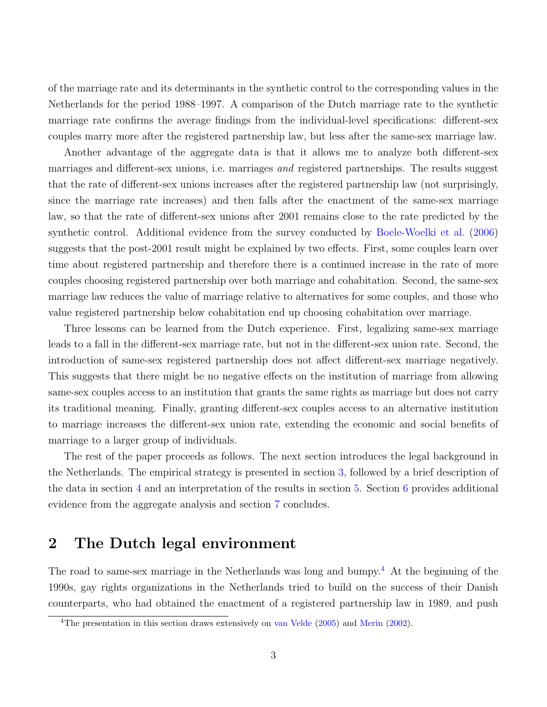of the marriage rate and its determinants in the synthetic control to the corresponding values in the Netherlands for the period 1988–1997. A comparison of the Dutch marriage rate to the synthetic marriage rate confirms the average findings from the individual-level specifications: different-sex couples marry more after the registered partnership law, but less after the same-sex marriage law.

Another advantage of the aggregate data is that it allows me to analyze both different-sex marriages and different-sex unions, i.e. marriages *and* registered partnerships. The results suggest that the rate of different-sex unions increases after the registered partnership law (not surprisingly, since the marriage rate increases) and then falls after the enactment of the same-sex marriage law, so that the rate of different-sex unions after 2001 remains close to the rate predicted by the synthetic control. Additional evidence from the survey conducted by [Boele-Woelki et al.](#page-33-7) [\(2006\)](#page-33-7) suggests that the post-2001 result might be explained by two effects. First, some couples learn over time about registered partnership and therefore there is a continued increase in the rate of more couples choosing registered partnership over both marriage and cohabitation. Second, the same-sex marriage law reduces the value of marriage relative to alternatives for some couples, and those who value registered partnership below cohabitation end up choosing cohabitation over marriage.

Three lessons can be learned from the Dutch experience. First, legalizing same-sex marriage leads to a fall in the different-sex marriage rate, but not in the different-sex union rate. Second, the introduction of same-sex registered partnership does not affect different-sex marriage negatively. This suggests that there might be no negative effects on the institution of marriage from allowing same-sex couples access to an institution that grants the same rights as marriage but does not carry its traditional meaning. Finally, granting different-sex couples access to an alternative institution to marriage increases the different-sex union rate, extending the economic and social benefits of marriage to a larger group of individuals.

The rest of the paper proceeds as follows. The next section introduces the legal background in the Netherlands. The empirical strategy is presented in section [3,](#page-6-0) followed by a brief description of the data in section [4](#page-10-0) and an interpretation of the results in section [5.](#page-14-0) Section [6](#page-20-0) provides additional evidence from the aggregate analysis and section [7](#page-28-0) concludes.

## 2 The Dutch legal environment

The road to same-sex marriage in the Netherlands was long and bumpy.<sup>[4](#page-3-0)</sup> At the beginning of the 1990s, gay rights organizations in the Netherlands tried to build on the success of their Danish counterparts, who had obtained the enactment of a registered partnership law in 1989, and push

<span id="page-3-0"></span><sup>4</sup>The presentation in this section draws extensively on [van Velde](#page-35-3) [\(2005\)](#page-35-3) and [Merin](#page-34-7) [\(2002\)](#page-34-7).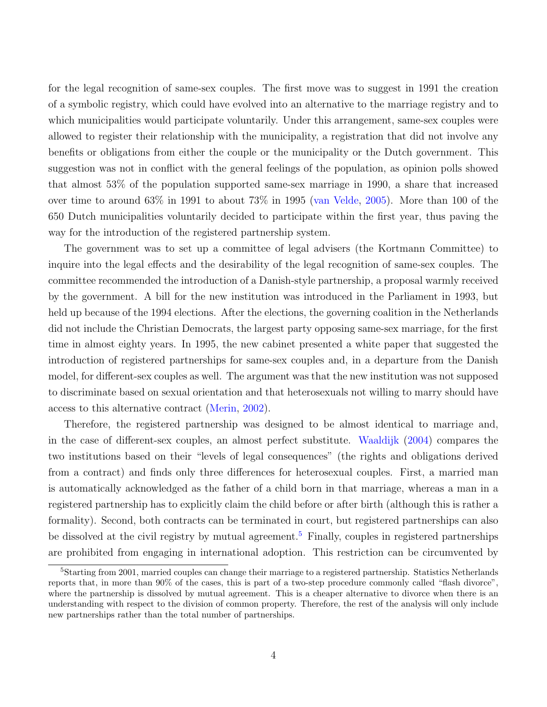for the legal recognition of same-sex couples. The first move was to suggest in 1991 the creation of a symbolic registry, which could have evolved into an alternative to the marriage registry and to which municipalities would participate voluntarily. Under this arrangement, same-sex couples were allowed to register their relationship with the municipality, a registration that did not involve any benefits or obligations from either the couple or the municipality or the Dutch government. This suggestion was not in conflict with the general feelings of the population, as opinion polls showed that almost 53% of the population supported same-sex marriage in 1990, a share that increased over time to around 63% in 1991 to about 73% in 1995 [\(van Velde,](#page-35-3) [2005\)](#page-35-3). More than 100 of the 650 Dutch municipalities voluntarily decided to participate within the first year, thus paving the way for the introduction of the registered partnership system.

The government was to set up a committee of legal advisers (the Kortmann Committee) to inquire into the legal effects and the desirability of the legal recognition of same-sex couples. The committee recommended the introduction of a Danish-style partnership, a proposal warmly received by the government. A bill for the new institution was introduced in the Parliament in 1993, but held up because of the 1994 elections. After the elections, the governing coalition in the Netherlands did not include the Christian Democrats, the largest party opposing same-sex marriage, for the first time in almost eighty years. In 1995, the new cabinet presented a white paper that suggested the introduction of registered partnerships for same-sex couples and, in a departure from the Danish model, for different-sex couples as well. The argument was that the new institution was not supposed to discriminate based on sexual orientation and that heterosexuals not willing to marry should have access to this alternative contract [\(Merin,](#page-34-7) [2002\)](#page-34-7).

Therefore, the registered partnership was designed to be almost identical to marriage and, in the case of different-sex couples, an almost perfect substitute. [Waaldijk](#page-35-4) [\(2004\)](#page-35-4) compares the two institutions based on their "levels of legal consequences" (the rights and obligations derived from a contract) and finds only three differences for heterosexual couples. First, a married man is automatically acknowledged as the father of a child born in that marriage, whereas a man in a registered partnership has to explicitly claim the child before or after birth (although this is rather a formality). Second, both contracts can be terminated in court, but registered partnerships can also be dissolved at the civil registry by mutual agreement.<sup>[5](#page-4-0)</sup> Finally, couples in registered partnerships are prohibited from engaging in international adoption. This restriction can be circumvented by

<span id="page-4-0"></span><sup>&</sup>lt;sup>5</sup>Starting from 2001, married couples can change their marriage to a registered partnership. Statistics Netherlands reports that, in more than 90% of the cases, this is part of a two-step procedure commonly called "flash divorce", where the partnership is dissolved by mutual agreement. This is a cheaper alternative to divorce when there is an understanding with respect to the division of common property. Therefore, the rest of the analysis will only include new partnerships rather than the total number of partnerships.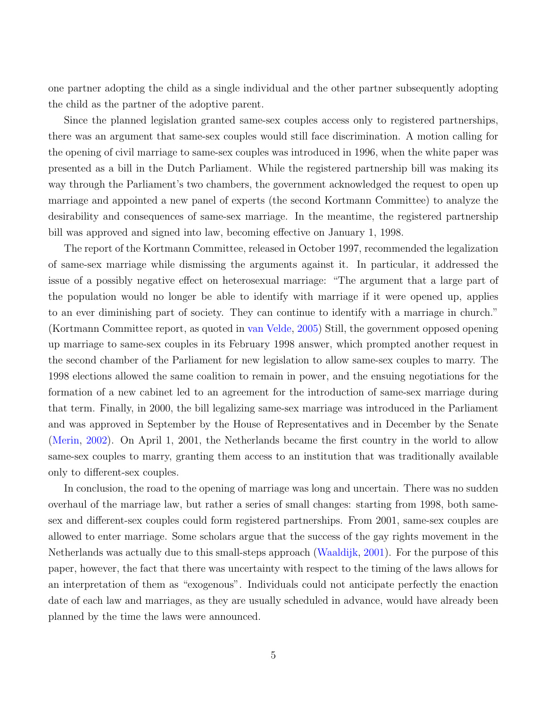one partner adopting the child as a single individual and the other partner subsequently adopting the child as the partner of the adoptive parent.

Since the planned legislation granted same-sex couples access only to registered partnerships, there was an argument that same-sex couples would still face discrimination. A motion calling for the opening of civil marriage to same-sex couples was introduced in 1996, when the white paper was presented as a bill in the Dutch Parliament. While the registered partnership bill was making its way through the Parliament's two chambers, the government acknowledged the request to open up marriage and appointed a new panel of experts (the second Kortmann Committee) to analyze the desirability and consequences of same-sex marriage. In the meantime, the registered partnership bill was approved and signed into law, becoming effective on January 1, 1998.

The report of the Kortmann Committee, released in October 1997, recommended the legalization of same-sex marriage while dismissing the arguments against it. In particular, it addressed the issue of a possibly negative effect on heterosexual marriage: "The argument that a large part of the population would no longer be able to identify with marriage if it were opened up, applies to an ever diminishing part of society. They can continue to identify with a marriage in church." (Kortmann Committee report, as quoted in [van Velde,](#page-35-3) [2005\)](#page-35-3) Still, the government opposed opening up marriage to same-sex couples in its February 1998 answer, which prompted another request in the second chamber of the Parliament for new legislation to allow same-sex couples to marry. The 1998 elections allowed the same coalition to remain in power, and the ensuing negotiations for the formation of a new cabinet led to an agreement for the introduction of same-sex marriage during that term. Finally, in 2000, the bill legalizing same-sex marriage was introduced in the Parliament and was approved in September by the House of Representatives and in December by the Senate [\(Merin,](#page-34-7) [2002\)](#page-34-7). On April 1, 2001, the Netherlands became the first country in the world to allow same-sex couples to marry, granting them access to an institution that was traditionally available only to different-sex couples.

In conclusion, the road to the opening of marriage was long and uncertain. There was no sudden overhaul of the marriage law, but rather a series of small changes: starting from 1998, both samesex and different-sex couples could form registered partnerships. From 2001, same-sex couples are allowed to enter marriage. Some scholars argue that the success of the gay rights movement in the Netherlands was actually due to this small-steps approach [\(Waaldijk,](#page-35-5) [2001\)](#page-35-5). For the purpose of this paper, however, the fact that there was uncertainty with respect to the timing of the laws allows for an interpretation of them as "exogenous". Individuals could not anticipate perfectly the enaction date of each law and marriages, as they are usually scheduled in advance, would have already been planned by the time the laws were announced.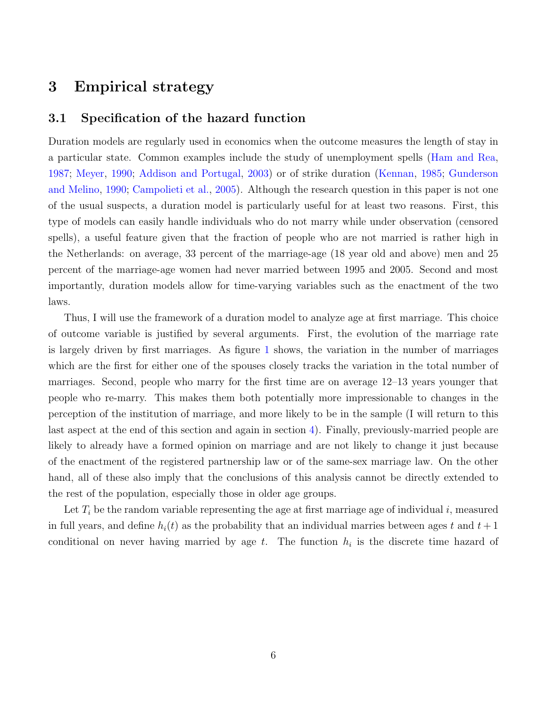# <span id="page-6-0"></span>3 Empirical strategy

#### 3.1 Specification of the hazard function

Duration models are regularly used in economics when the outcome measures the length of stay in a particular state. Common examples include the study of unemployment spells [\(Ham and Rea,](#page-34-8) [1987;](#page-34-8) [Meyer,](#page-34-9) [1990;](#page-34-9) [Addison and Portugal,](#page-33-8) [2003\)](#page-33-8) or of strike duration [\(Kennan,](#page-34-10) [1985;](#page-34-10) [Gunderson](#page-34-11) [and Melino,](#page-34-11) [1990;](#page-34-11) [Campolieti et al.,](#page-33-9) [2005\)](#page-33-9). Although the research question in this paper is not one of the usual suspects, a duration model is particularly useful for at least two reasons. First, this type of models can easily handle individuals who do not marry while under observation (censored spells), a useful feature given that the fraction of people who are not married is rather high in the Netherlands: on average, 33 percent of the marriage-age (18 year old and above) men and 25 percent of the marriage-age women had never married between 1995 and 2005. Second and most importantly, duration models allow for time-varying variables such as the enactment of the two laws.

Thus, I will use the framework of a duration model to analyze age at first marriage. This choice of outcome variable is justified by several arguments. First, the evolution of the marriage rate is largely driven by first marriages. As figure [1](#page-33-10) shows, the variation in the number of marriages which are the first for either one of the spouses closely tracks the variation in the total number of marriages. Second, people who marry for the first time are on average 12–13 years younger that people who re-marry. This makes them both potentially more impressionable to changes in the perception of the institution of marriage, and more likely to be in the sample (I will return to this last aspect at the end of this section and again in section [4\)](#page-10-0). Finally, previously-married people are likely to already have a formed opinion on marriage and are not likely to change it just because of the enactment of the registered partnership law or of the same-sex marriage law. On the other hand, all of these also imply that the conclusions of this analysis cannot be directly extended to the rest of the population, especially those in older age groups.

Let  $T_i$  be the random variable representing the age at first marriage age of individual i, measured in full years, and define  $h_i(t)$  as the probability that an individual marries between ages t and  $t+1$ conditional on never having married by age  $t$ . The function  $h_i$  is the discrete time hazard of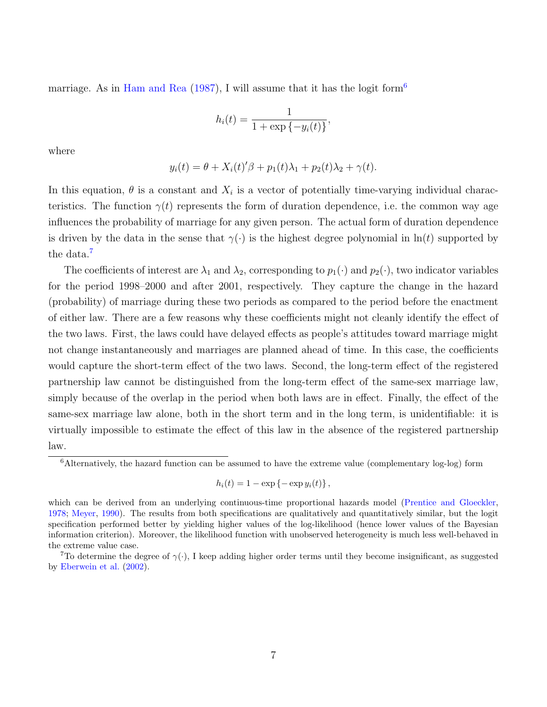marriage. As in [Ham and Rea](#page-34-8) [\(1987\)](#page-34-8), I will assume that it has the logit form<sup>[6](#page-7-0)</sup>

$$
h_i(t) = \frac{1}{1 + \exp\{-y_i(t)\}}
$$

,

where

$$
y_i(t) = \theta + X_i(t)'\beta + p_1(t)\lambda_1 + p_2(t)\lambda_2 + \gamma(t).
$$

In this equation,  $\theta$  is a constant and  $X_i$  is a vector of potentially time-varying individual characteristics. The function  $\gamma(t)$  represents the form of duration dependence, i.e. the common way age influences the probability of marriage for any given person. The actual form of duration dependence is driven by the data in the sense that  $\gamma(\cdot)$  is the highest degree polynomial in  $\ln(t)$  supported by the data.<sup>[7](#page-7-1)</sup>

The coefficients of interest are  $\lambda_1$  and  $\lambda_2$ , corresponding to  $p_1(\cdot)$  and  $p_2(\cdot)$ , two indicator variables for the period 1998–2000 and after 2001, respectively. They capture the change in the hazard (probability) of marriage during these two periods as compared to the period before the enactment of either law. There are a few reasons why these coefficients might not cleanly identify the effect of the two laws. First, the laws could have delayed effects as people's attitudes toward marriage might not change instantaneously and marriages are planned ahead of time. In this case, the coefficients would capture the short-term effect of the two laws. Second, the long-term effect of the registered partnership law cannot be distinguished from the long-term effect of the same-sex marriage law, simply because of the overlap in the period when both laws are in effect. Finally, the effect of the same-sex marriage law alone, both in the short term and in the long term, is unidentifiable: it is virtually impossible to estimate the effect of this law in the absence of the registered partnership law.

$$
h_i(t) = 1 - \exp\left\{-\exp y_i(t)\right\},\,
$$

<span id="page-7-0"></span><sup>&</sup>lt;sup>6</sup>Alternatively, the hazard function can be assumed to have the extreme value (complementary log-log) form

which can be derived from an underlying continuous-time proportional hazards model [\(Prentice and Gloeckler,](#page-35-6) [1978;](#page-35-6) [Meyer,](#page-34-9) [1990\)](#page-34-9). The results from both specifications are qualitatively and quantitatively similar, but the logit specification performed better by yielding higher values of the log-likelihood (hence lower values of the Bayesian information criterion). Moreover, the likelihood function with unobserved heterogeneity is much less well-behaved in the extreme value case.

<span id="page-7-1"></span><sup>&</sup>lt;sup>7</sup>To determine the degree of  $\gamma(\cdot)$ , I keep adding higher order terms until they become insignificant, as suggested by [Eberwein et al.](#page-34-12) [\(2002\)](#page-34-12).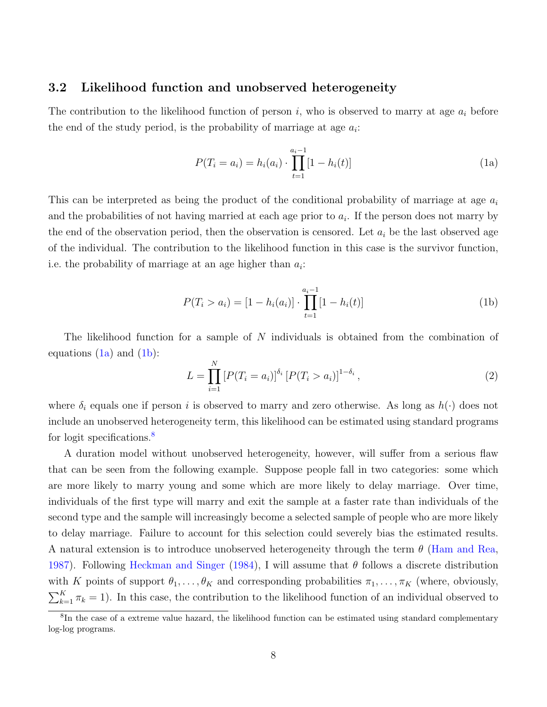#### 3.2 Likelihood function and unobserved heterogeneity

The contribution to the likelihood function of person  $i$ , who is observed to marry at age  $a_i$  before the end of the study period, is the probability of marriage at age  $a_i$ :

<span id="page-8-0"></span>
$$
P(T_i = a_i) = h_i(a_i) \cdot \prod_{t=1}^{a_i - 1} [1 - h_i(t)] \tag{1a}
$$

This can be interpreted as being the product of the conditional probability of marriage at age  $a_i$ and the probabilities of not having married at each age prior to  $a_i$ . If the person does not marry by the end of the observation period, then the observation is censored. Let  $a_i$  be the last observed age of the individual. The contribution to the likelihood function in this case is the survivor function, i.e. the probability of marriage at an age higher than  $a_i$ :

<span id="page-8-1"></span>
$$
P(T_i > a_i) = [1 - h_i(a_i)] \cdot \prod_{t=1}^{a_i - 1} [1 - h_i(t)] \tag{1b}
$$

The likelihood function for a sample of  $N$  individuals is obtained from the combination of equations  $(1a)$  and  $(1b)$ :

$$
L = \prod_{i=1}^{N} \left[ P(T_i = a_i) \right]^{\delta_i} \left[ P(T_i > a_i) \right]^{1 - \delta_i},\tag{2}
$$

where  $\delta_i$  equals one if person i is observed to marry and zero otherwise. As long as  $h(\cdot)$  does not include an unobserved heterogeneity term, this likelihood can be estimated using standard programs for logit specifications.<sup>[8](#page-8-2)</sup>

A duration model without unobserved heterogeneity, however, will suffer from a serious flaw that can be seen from the following example. Suppose people fall in two categories: some which are more likely to marry young and some which are more likely to delay marriage. Over time, individuals of the first type will marry and exit the sample at a faster rate than individuals of the second type and the sample will increasingly become a selected sample of people who are more likely to delay marriage. Failure to account for this selection could severely bias the estimated results. A natural extension is to introduce unobserved heterogeneity through the term  $\theta$  [\(Ham and Rea,](#page-34-8) [1987\)](#page-34-8). Following [Heckman and Singer](#page-34-13) [\(1984\)](#page-34-13), I will assume that  $\theta$  follows a discrete distribution with K points of support  $\theta_1, \ldots, \theta_K$  and corresponding probabilities  $\pi_1, \ldots, \pi_K$  (where, obviously,  $\sum_{k=1}^{K} \pi_k = 1$ ). In this case, the contribution to the likelihood function of an individual observed to

<span id="page-8-2"></span><sup>&</sup>lt;sup>8</sup>In the case of a extreme value hazard, the likelihood function can be estimated using standard complementary log-log programs.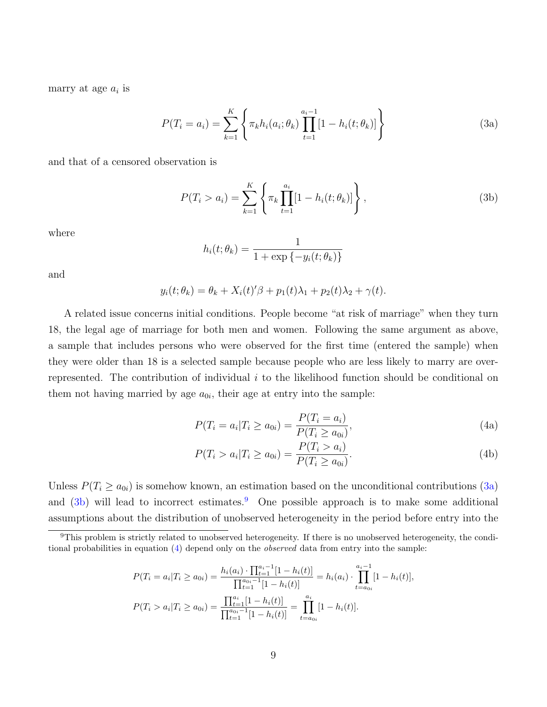marry at age  $a_i$  is

$$
P(T_i = a_i) = \sum_{k=1}^{K} \left\{ \pi_k h_i(a_i; \theta_k) \prod_{t=1}^{a_i - 1} [1 - h_i(t; \theta_k)] \right\}
$$
(3a)

and that of a censored observation is

$$
P(T_i > a_i) = \sum_{k=1}^{K} \left\{ \pi_k \prod_{t=1}^{a_i} [1 - h_i(t; \theta_k)] \right\},
$$
 (3b)

where

<span id="page-9-1"></span><span id="page-9-0"></span>
$$
h_i(t; \theta_k) = \frac{1}{1 + \exp\{-y_i(t; \theta_k)\}}
$$

and

$$
y_i(t; \theta_k) = \theta_k + X_i(t)'\beta + p_1(t)\lambda_1 + p_2(t)\lambda_2 + \gamma(t).
$$

A related issue concerns initial conditions. People become "at risk of marriage" when they turn 18, the legal age of marriage for both men and women. Following the same argument as above, a sample that includes persons who were observed for the first time (entered the sample) when they were older than 18 is a selected sample because people who are less likely to marry are overrepresented. The contribution of individual  $i$  to the likelihood function should be conditional on them not having married by age  $a_{0i}$ , their age at entry into the sample:

<span id="page-9-3"></span>
$$
P(T_i = a_i | T_i \ge a_{0i}) = \frac{P(T_i = a_i)}{P(T_i \ge a_{0i})},
$$
\n(4a)

$$
P(T_i > a_i | T_i \ge a_{0i}) = \frac{P(T_i > a_i)}{P(T_i \ge a_{0i})}.
$$
\n(4b)

Unless  $P(T_i \ge a_{0i})$  is somehow known, an estimation based on the unconditional contributions  $(3a)$ and  $(3b)$  will lead to incorrect estimates.<sup>[9](#page-9-2)</sup> One possible approach is to make some additional assumptions about the distribution of unobserved heterogeneity in the period before entry into the

$$
P(T_i = a_i | T_i \ge a_{0i}) = \frac{h_i(a_i) \cdot \prod_{t=1}^{a_i - 1} [1 - h_i(t)]}{\prod_{t=1}^{a_{0i} - 1} [1 - h_i(t)]} = h_i(a_i) \cdot \prod_{t=a_{0i}}^{a_i - 1} [1 - h_i(t)],
$$
  

$$
P(T_i > a_i | T_i \ge a_{0i}) = \frac{\prod_{t=1}^{a_i} [1 - h_i(t)]}{\prod_{t=1}^{a_{0i} - 1} [1 - h_i(t)]} = \prod_{t=a_{0i}}^{a_i} [1 - h_i(t)].
$$

<span id="page-9-2"></span> $9$ This problem is strictly related to unobserved heterogeneity. If there is no unobserved heterogeneity, the conditional probabilities in equation [\(4\)](#page-9-3) depend only on the observed data from entry into the sample: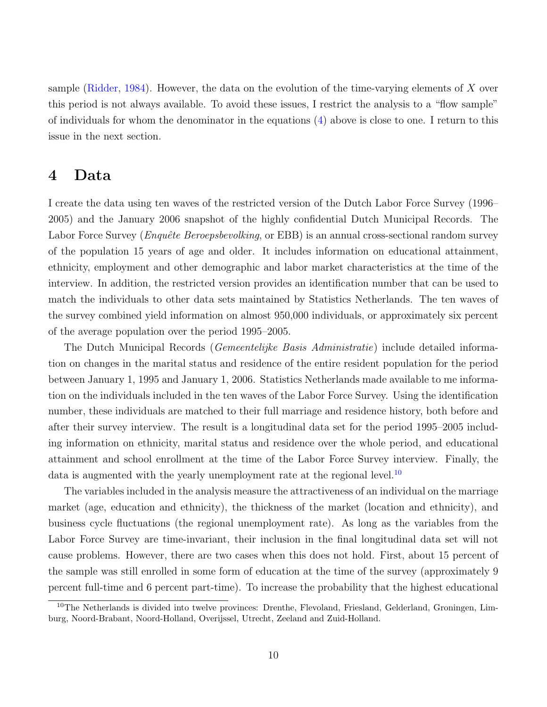sample [\(Ridder,](#page-35-7) [1984\)](#page-35-7). However, the data on the evolution of the time-varying elements of  $X$  over this period is not always available. To avoid these issues, I restrict the analysis to a "flow sample" of individuals for whom the denominator in the equations [\(4\)](#page-9-3) above is close to one. I return to this issue in the next section.

### <span id="page-10-0"></span>4 Data

I create the data using ten waves of the restricted version of the Dutch Labor Force Survey (1996– 2005) and the January 2006 snapshot of the highly confidential Dutch Municipal Records. The Labor Force Survey (*Enquête Beroepsbevolking*, or EBB) is an annual cross-sectional random survey of the population 15 years of age and older. It includes information on educational attainment, ethnicity, employment and other demographic and labor market characteristics at the time of the interview. In addition, the restricted version provides an identification number that can be used to match the individuals to other data sets maintained by Statistics Netherlands. The ten waves of the survey combined yield information on almost 950,000 individuals, or approximately six percent of the average population over the period 1995–2005.

The Dutch Municipal Records (Gemeentelijke Basis Administratie) include detailed information on changes in the marital status and residence of the entire resident population for the period between January 1, 1995 and January 1, 2006. Statistics Netherlands made available to me information on the individuals included in the ten waves of the Labor Force Survey. Using the identification number, these individuals are matched to their full marriage and residence history, both before and after their survey interview. The result is a longitudinal data set for the period 1995–2005 including information on ethnicity, marital status and residence over the whole period, and educational attainment and school enrollment at the time of the Labor Force Survey interview. Finally, the data is augmented with the yearly unemployment rate at the regional level.<sup>[10](#page-10-1)</sup>

The variables included in the analysis measure the attractiveness of an individual on the marriage market (age, education and ethnicity), the thickness of the market (location and ethnicity), and business cycle fluctuations (the regional unemployment rate). As long as the variables from the Labor Force Survey are time-invariant, their inclusion in the final longitudinal data set will not cause problems. However, there are two cases when this does not hold. First, about 15 percent of the sample was still enrolled in some form of education at the time of the survey (approximately 9 percent full-time and 6 percent part-time). To increase the probability that the highest educational

<span id="page-10-1"></span><sup>&</sup>lt;sup>10</sup>The Netherlands is divided into twelve provinces: Drenthe, Flevoland, Friesland, Gelderland, Groningen, Limburg, Noord-Brabant, Noord-Holland, Overijssel, Utrecht, Zeeland and Zuid-Holland.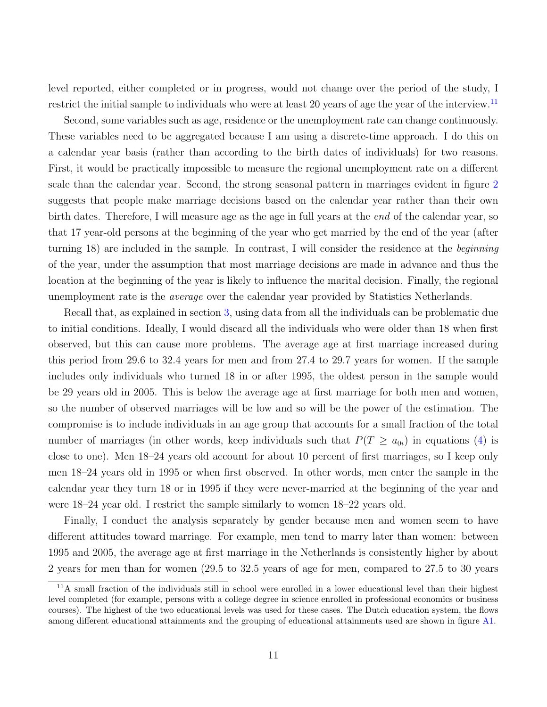level reported, either completed or in progress, would not change over the period of the study, I restrict the initial sample to individuals who were at least 20 years of age the year of the interview.<sup>[11](#page-11-0)</sup>

Second, some variables such as age, residence or the unemployment rate can change continuously. These variables need to be aggregated because I am using a discrete-time approach. I do this on a calendar year basis (rather than according to the birth dates of individuals) for two reasons. First, it would be practically impossible to measure the regional unemployment rate on a different scale than the calendar year. Second, the strong seasonal pattern in marriages evident in figure [2](#page-33-10) suggests that people make marriage decisions based on the calendar year rather than their own birth dates. Therefore, I will measure age as the age in full years at the end of the calendar year, so that 17 year-old persons at the beginning of the year who get married by the end of the year (after turning 18) are included in the sample. In contrast, I will consider the residence at the beginning of the year, under the assumption that most marriage decisions are made in advance and thus the location at the beginning of the year is likely to influence the marital decision. Finally, the regional unemployment rate is the average over the calendar year provided by Statistics Netherlands.

Recall that, as explained in section [3,](#page-6-0) using data from all the individuals can be problematic due to initial conditions. Ideally, I would discard all the individuals who were older than 18 when first observed, but this can cause more problems. The average age at first marriage increased during this period from 29.6 to 32.4 years for men and from 27.4 to 29.7 years for women. If the sample includes only individuals who turned 18 in or after 1995, the oldest person in the sample would be 29 years old in 2005. This is below the average age at first marriage for both men and women, so the number of observed marriages will be low and so will be the power of the estimation. The compromise is to include individuals in an age group that accounts for a small fraction of the total number of marriages (in other words, keep individuals such that  $P(T \ge a_{0i})$  in equations [\(4\)](#page-9-3) is close to one). Men 18–24 years old account for about 10 percent of first marriages, so I keep only men 18–24 years old in 1995 or when first observed. In other words, men enter the sample in the calendar year they turn 18 or in 1995 if they were never-married at the beginning of the year and were 18–24 year old. I restrict the sample similarly to women 18–22 years old.

Finally, I conduct the analysis separately by gender because men and women seem to have different attitudes toward marriage. For example, men tend to marry later than women: between 1995 and 2005, the average age at first marriage in the Netherlands is consistently higher by about 2 years for men than for women (29.5 to 32.5 years of age for men, compared to 27.5 to 30 years

<span id="page-11-0"></span><sup>11</sup>A small fraction of the individuals still in school were enrolled in a lower educational level than their highest level completed (for example, persons with a college degree in science enrolled in professional economics or business courses). The highest of the two educational levels was used for these cases. The Dutch education system, the flows among different educational attainments and the grouping of educational attainments used are shown in figure [A1.](#page-33-10)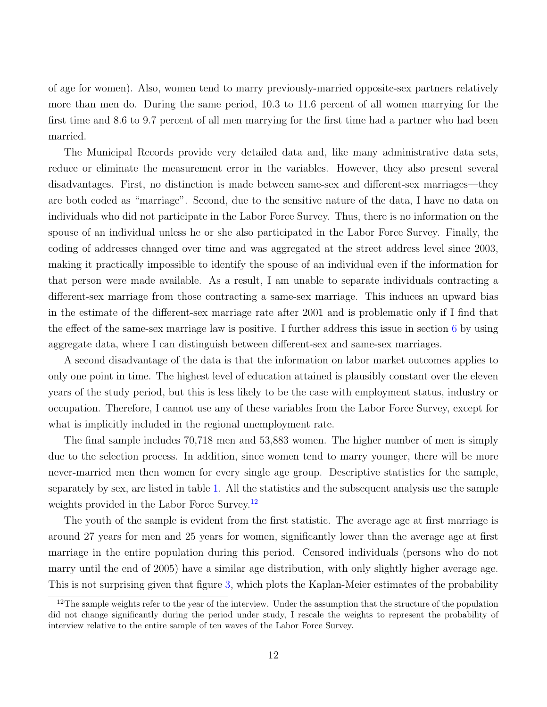of age for women). Also, women tend to marry previously-married opposite-sex partners relatively more than men do. During the same period, 10.3 to 11.6 percent of all women marrying for the first time and 8.6 to 9.7 percent of all men marrying for the first time had a partner who had been married.

The Municipal Records provide very detailed data and, like many administrative data sets, reduce or eliminate the measurement error in the variables. However, they also present several disadvantages. First, no distinction is made between same-sex and different-sex marriages—they are both coded as "marriage". Second, due to the sensitive nature of the data, I have no data on individuals who did not participate in the Labor Force Survey. Thus, there is no information on the spouse of an individual unless he or she also participated in the Labor Force Survey. Finally, the coding of addresses changed over time and was aggregated at the street address level since 2003, making it practically impossible to identify the spouse of an individual even if the information for that person were made available. As a result, I am unable to separate individuals contracting a different-sex marriage from those contracting a same-sex marriage. This induces an upward bias in the estimate of the different-sex marriage rate after 2001 and is problematic only if I find that the effect of the same-sex marriage law is positive. I further address this issue in section [6](#page-20-0) by using aggregate data, where I can distinguish between different-sex and same-sex marriages.

A second disadvantage of the data is that the information on labor market outcomes applies to only one point in time. The highest level of education attained is plausibly constant over the eleven years of the study period, but this is less likely to be the case with employment status, industry or occupation. Therefore, I cannot use any of these variables from the Labor Force Survey, except for what is implicitly included in the regional unemployment rate.

The final sample includes 70,718 men and 53,883 women. The higher number of men is simply due to the selection process. In addition, since women tend to marry younger, there will be more never-married men then women for every single age group. Descriptive statistics for the sample, separately by sex, are listed in table [1.](#page-33-10) All the statistics and the subsequent analysis use the sample weights provided in the Labor Force Survey.<sup>[12](#page-12-0)</sup>

The youth of the sample is evident from the first statistic. The average age at first marriage is around 27 years for men and 25 years for women, significantly lower than the average age at first marriage in the entire population during this period. Censored individuals (persons who do not marry until the end of 2005) have a similar age distribution, with only slightly higher average age. This is not surprising given that figure [3,](#page-33-10) which plots the Kaplan-Meier estimates of the probability

<span id="page-12-0"></span><sup>&</sup>lt;sup>12</sup>The sample weights refer to the year of the interview. Under the assumption that the structure of the population did not change significantly during the period under study, I rescale the weights to represent the probability of interview relative to the entire sample of ten waves of the Labor Force Survey.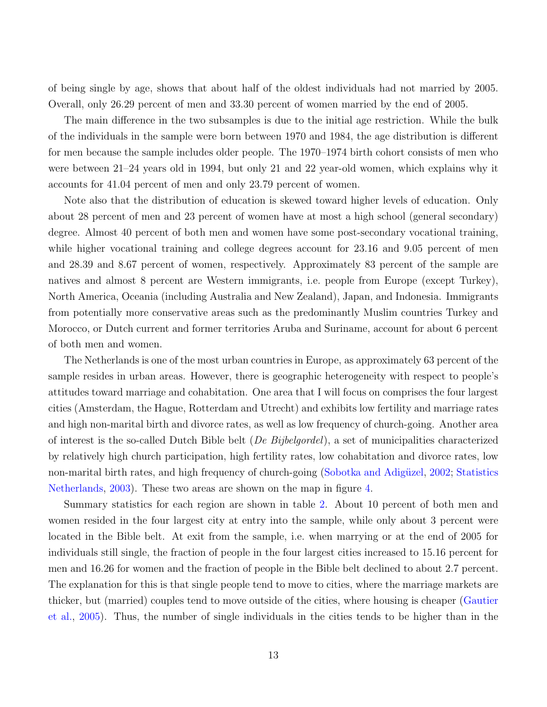of being single by age, shows that about half of the oldest individuals had not married by 2005. Overall, only 26.29 percent of men and 33.30 percent of women married by the end of 2005.

The main difference in the two subsamples is due to the initial age restriction. While the bulk of the individuals in the sample were born between 1970 and 1984, the age distribution is different for men because the sample includes older people. The 1970–1974 birth cohort consists of men who were between 21–24 years old in 1994, but only 21 and 22 year-old women, which explains why it accounts for 41.04 percent of men and only 23.79 percent of women.

Note also that the distribution of education is skewed toward higher levels of education. Only about 28 percent of men and 23 percent of women have at most a high school (general secondary) degree. Almost 40 percent of both men and women have some post-secondary vocational training, while higher vocational training and college degrees account for 23.16 and 9.05 percent of men and 28.39 and 8.67 percent of women, respectively. Approximately 83 percent of the sample are natives and almost 8 percent are Western immigrants, i.e. people from Europe (except Turkey), North America, Oceania (including Australia and New Zealand), Japan, and Indonesia. Immigrants from potentially more conservative areas such as the predominantly Muslim countries Turkey and Morocco, or Dutch current and former territories Aruba and Suriname, account for about 6 percent of both men and women.

The Netherlands is one of the most urban countries in Europe, as approximately 63 percent of the sample resides in urban areas. However, there is geographic heterogeneity with respect to people's attitudes toward marriage and cohabitation. One area that I will focus on comprises the four largest cities (Amsterdam, the Hague, Rotterdam and Utrecht) and exhibits low fertility and marriage rates and high non-marital birth and divorce rates, as well as low frequency of church-going. Another area of interest is the so-called Dutch Bible belt (De Bijbelgordel), a set of municipalities characterized by relatively high church participation, high fertility rates, low cohabitation and divorce rates, low non-marital birth rates, and high frequency of church-going (Sobotka and Adigüzel, [2002;](#page-35-8) [Statistics](#page-35-9) [Netherlands,](#page-35-9) [2003\)](#page-35-9). These two areas are shown on the map in figure [4.](#page-33-10)

Summary statistics for each region are shown in table [2.](#page-33-10) About 10 percent of both men and women resided in the four largest city at entry into the sample, while only about 3 percent were located in the Bible belt. At exit from the sample, i.e. when marrying or at the end of 2005 for individuals still single, the fraction of people in the four largest cities increased to 15.16 percent for men and 16.26 for women and the fraction of people in the Bible belt declined to about 2.7 percent. The explanation for this is that single people tend to move to cities, where the marriage markets are thicker, but (married) couples tend to move outside of the cities, where housing is cheaper [\(Gautier](#page-34-14) [et al.,](#page-34-14) [2005\)](#page-34-14). Thus, the number of single individuals in the cities tends to be higher than in the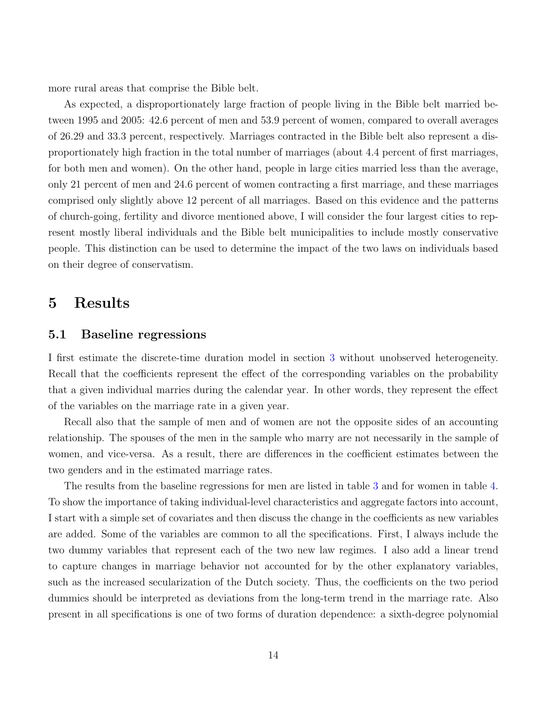more rural areas that comprise the Bible belt.

As expected, a disproportionately large fraction of people living in the Bible belt married between 1995 and 2005: 42.6 percent of men and 53.9 percent of women, compared to overall averages of 26.29 and 33.3 percent, respectively. Marriages contracted in the Bible belt also represent a disproportionately high fraction in the total number of marriages (about 4.4 percent of first marriages, for both men and women). On the other hand, people in large cities married less than the average, only 21 percent of men and 24.6 percent of women contracting a first marriage, and these marriages comprised only slightly above 12 percent of all marriages. Based on this evidence and the patterns of church-going, fertility and divorce mentioned above, I will consider the four largest cities to represent mostly liberal individuals and the Bible belt municipalities to include mostly conservative people. This distinction can be used to determine the impact of the two laws on individuals based on their degree of conservatism.

## <span id="page-14-0"></span>5 Results

#### 5.1 Baseline regressions

I first estimate the discrete-time duration model in section [3](#page-6-0) without unobserved heterogeneity. Recall that the coefficients represent the effect of the corresponding variables on the probability that a given individual marries during the calendar year. In other words, they represent the effect of the variables on the marriage rate in a given year.

Recall also that the sample of men and of women are not the opposite sides of an accounting relationship. The spouses of the men in the sample who marry are not necessarily in the sample of women, and vice-versa. As a result, there are differences in the coefficient estimates between the two genders and in the estimated marriage rates.

The results from the baseline regressions for men are listed in table [3](#page-33-10) and for women in table [4.](#page-33-10) To show the importance of taking individual-level characteristics and aggregate factors into account, I start with a simple set of covariates and then discuss the change in the coefficients as new variables are added. Some of the variables are common to all the specifications. First, I always include the two dummy variables that represent each of the two new law regimes. I also add a linear trend to capture changes in marriage behavior not accounted for by the other explanatory variables, such as the increased secularization of the Dutch society. Thus, the coefficients on the two period dummies should be interpreted as deviations from the long-term trend in the marriage rate. Also present in all specifications is one of two forms of duration dependence: a sixth-degree polynomial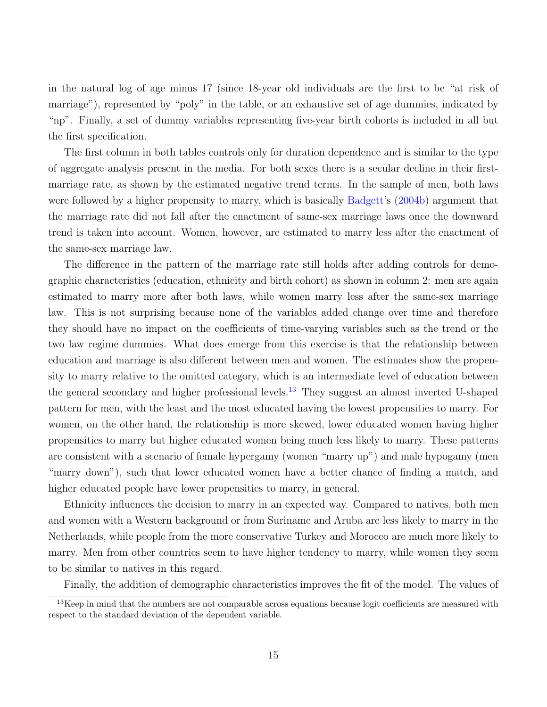in the natural log of age minus 17 (since 18-year old individuals are the first to be "at risk of marriage"), represented by "poly" in the table, or an exhaustive set of age dummies, indicated by "np". Finally, a set of dummy variables representing five-year birth cohorts is included in all but the first specification.

The first column in both tables controls only for duration dependence and is similar to the type of aggregate analysis present in the media. For both sexes there is a secular decline in their firstmarriage rate, as shown by the estimated negative trend terms. In the sample of men, both laws were followed by a higher propensity to marry, which is basically [Badgett'](#page-33-4)s [\(2004b\)](#page-33-4) argument that the marriage rate did not fall after the enactment of same-sex marriage laws once the downward trend is taken into account. Women, however, are estimated to marry less after the enactment of the same-sex marriage law.

The difference in the pattern of the marriage rate still holds after adding controls for demographic characteristics (education, ethnicity and birth cohort) as shown in column 2: men are again estimated to marry more after both laws, while women marry less after the same-sex marriage law. This is not surprising because none of the variables added change over time and therefore they should have no impact on the coefficients of time-varying variables such as the trend or the two law regime dummies. What does emerge from this exercise is that the relationship between education and marriage is also different between men and women. The estimates show the propensity to marry relative to the omitted category, which is an intermediate level of education between the general secondary and higher professional levels.<sup>[13](#page-15-0)</sup> They suggest an almost inverted U-shaped pattern for men, with the least and the most educated having the lowest propensities to marry. For women, on the other hand, the relationship is more skewed, lower educated women having higher propensities to marry but higher educated women being much less likely to marry. These patterns are consistent with a scenario of female hypergamy (women "marry up") and male hypogamy (men "marry down"), such that lower educated women have a better chance of finding a match, and higher educated people have lower propensities to marry, in general.

Ethnicity influences the decision to marry in an expected way. Compared to natives, both men and women with a Western background or from Suriname and Aruba are less likely to marry in the Netherlands, while people from the more conservative Turkey and Morocco are much more likely to marry. Men from other countries seem to have higher tendency to marry, while women they seem to be similar to natives in this regard.

<span id="page-15-0"></span>Finally, the addition of demographic characteristics improves the fit of the model. The values of

<sup>&</sup>lt;sup>13</sup>Keep in mind that the numbers are not comparable across equations because logit coefficients are measured with respect to the standard deviation of the dependent variable.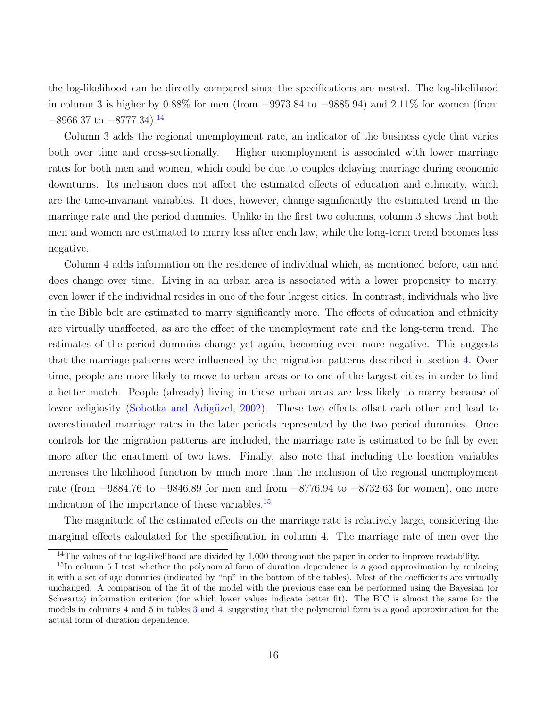the log-likelihood can be directly compared since the specifications are nested. The log-likelihood in column 3 is higher by 0.88% for men (from −9973.84 to −9885.94) and 2.11% for women (from  $-8966.37$  to  $-8777.34$ ).<sup>[14](#page-16-0)</sup>

Column 3 adds the regional unemployment rate, an indicator of the business cycle that varies both over time and cross-sectionally. Higher unemployment is associated with lower marriage rates for both men and women, which could be due to couples delaying marriage during economic downturns. Its inclusion does not affect the estimated effects of education and ethnicity, which are the time-invariant variables. It does, however, change significantly the estimated trend in the marriage rate and the period dummies. Unlike in the first two columns, column 3 shows that both men and women are estimated to marry less after each law, while the long-term trend becomes less negative.

Column 4 adds information on the residence of individual which, as mentioned before, can and does change over time. Living in an urban area is associated with a lower propensity to marry, even lower if the individual resides in one of the four largest cities. In contrast, individuals who live in the Bible belt are estimated to marry significantly more. The effects of education and ethnicity are virtually unaffected, as are the effect of the unemployment rate and the long-term trend. The estimates of the period dummies change yet again, becoming even more negative. This suggests that the marriage patterns were influenced by the migration patterns described in section [4.](#page-10-0) Over time, people are more likely to move to urban areas or to one of the largest cities in order to find a better match. People (already) living in these urban areas are less likely to marry because of lower religiosity (Sobotka and Adigüzel, [2002\)](#page-35-8). These two effects offset each other and lead to overestimated marriage rates in the later periods represented by the two period dummies. Once controls for the migration patterns are included, the marriage rate is estimated to be fall by even more after the enactment of two laws. Finally, also note that including the location variables increases the likelihood function by much more than the inclusion of the regional unemployment rate (from −9884.76 to −9846.89 for men and from −8776.94 to −8732.63 for women), one more indication of the importance of these variables.<sup>[15](#page-16-1)</sup>

The magnitude of the estimated effects on the marriage rate is relatively large, considering the marginal effects calculated for the specification in column 4. The marriage rate of men over the

<span id="page-16-1"></span><span id="page-16-0"></span><sup>&</sup>lt;sup>14</sup>The values of the log-likelihood are divided by 1,000 throughout the paper in order to improve readability.

<sup>&</sup>lt;sup>15</sup>In column 5 I test whether the polynomial form of duration dependence is a good approximation by replacing it with a set of age dummies (indicated by "np" in the bottom of the tables). Most of the coefficients are virtually unchanged. A comparison of the fit of the model with the previous case can be performed using the Bayesian (or Schwartz) information criterion (for which lower values indicate better fit). The BIC is almost the same for the models in columns 4 and 5 in tables [3](#page-33-10) and [4,](#page-33-10) suggesting that the polynomial form is a good approximation for the actual form of duration dependence.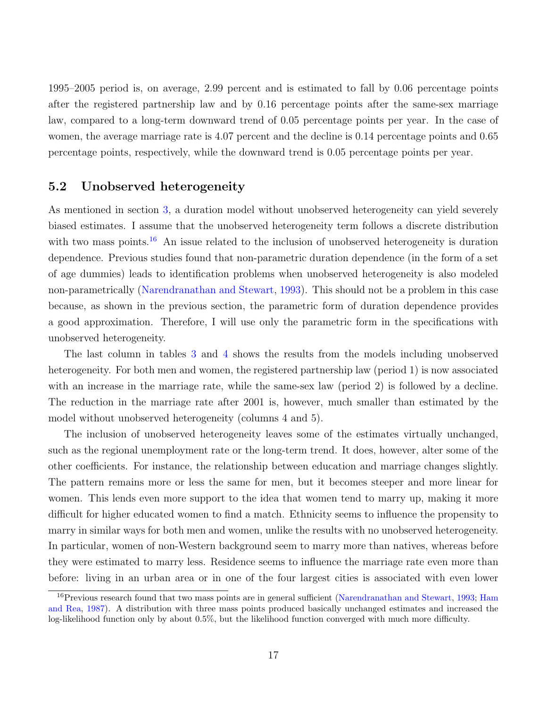1995–2005 period is, on average, 2.99 percent and is estimated to fall by 0.06 percentage points after the registered partnership law and by 0.16 percentage points after the same-sex marriage law, compared to a long-term downward trend of 0.05 percentage points per year. In the case of women, the average marriage rate is 4.07 percent and the decline is 0.14 percentage points and 0.65 percentage points, respectively, while the downward trend is 0.05 percentage points per year.

#### 5.2 Unobserved heterogeneity

As mentioned in section [3,](#page-6-0) a duration model without unobserved heterogeneity can yield severely biased estimates. I assume that the unobserved heterogeneity term follows a discrete distribution with two mass points.<sup>[16](#page-17-0)</sup> An issue related to the inclusion of unobserved heterogeneity is duration dependence. Previous studies found that non-parametric duration dependence (in the form of a set of age dummies) leads to identification problems when unobserved heterogeneity is also modeled non-parametrically [\(Narendranathan and Stewart,](#page-35-10) [1993\)](#page-35-10). This should not be a problem in this case because, as shown in the previous section, the parametric form of duration dependence provides a good approximation. Therefore, I will use only the parametric form in the specifications with unobserved heterogeneity.

The last column in tables [3](#page-33-10) and [4](#page-33-10) shows the results from the models including unobserved heterogeneity. For both men and women, the registered partnership law (period 1) is now associated with an increase in the marriage rate, while the same-sex law (period 2) is followed by a decline. The reduction in the marriage rate after 2001 is, however, much smaller than estimated by the model without unobserved heterogeneity (columns 4 and 5).

The inclusion of unobserved heterogeneity leaves some of the estimates virtually unchanged, such as the regional unemployment rate or the long-term trend. It does, however, alter some of the other coefficients. For instance, the relationship between education and marriage changes slightly. The pattern remains more or less the same for men, but it becomes steeper and more linear for women. This lends even more support to the idea that women tend to marry up, making it more difficult for higher educated women to find a match. Ethnicity seems to influence the propensity to marry in similar ways for both men and women, unlike the results with no unobserved heterogeneity. In particular, women of non-Western background seem to marry more than natives, whereas before they were estimated to marry less. Residence seems to influence the marriage rate even more than before: living in an urban area or in one of the four largest cities is associated with even lower

<span id="page-17-0"></span><sup>&</sup>lt;sup>16</sup>Previous research found that two mass points are in general sufficient [\(Narendranathan and Stewart,](#page-35-10) [1993;](#page-35-10) [Ham](#page-34-8) [and Rea,](#page-34-8) [1987\)](#page-34-8). A distribution with three mass points produced basically unchanged estimates and increased the log-likelihood function only by about 0.5%, but the likelihood function converged with much more difficulty.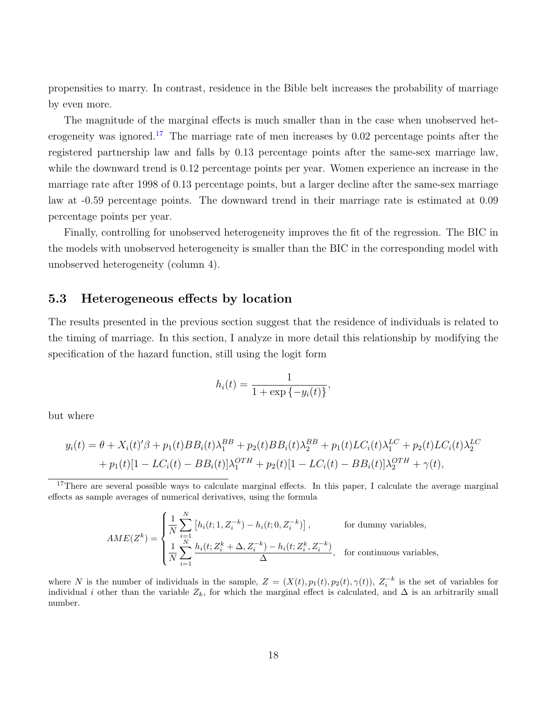propensities to marry. In contrast, residence in the Bible belt increases the probability of marriage by even more.

The magnitude of the marginal effects is much smaller than in the case when unobserved het-erogeneity was ignored.<sup>[17](#page-18-0)</sup> The marriage rate of men increases by  $0.02$  percentage points after the registered partnership law and falls by 0.13 percentage points after the same-sex marriage law, while the downward trend is 0.12 percentage points per year. Women experience an increase in the marriage rate after 1998 of 0.13 percentage points, but a larger decline after the same-sex marriage law at -0.59 percentage points. The downward trend in their marriage rate is estimated at 0.09 percentage points per year.

Finally, controlling for unobserved heterogeneity improves the fit of the regression. The BIC in the models with unobserved heterogeneity is smaller than the BIC in the corresponding model with unobserved heterogeneity (column 4).

#### 5.3 Heterogeneous effects by location

The results presented in the previous section suggest that the residence of individuals is related to the timing of marriage. In this section, I analyze in more detail this relationship by modifying the specification of the hazard function, still using the logit form

$$
h_i(t) = \frac{1}{1 + \exp\{-y_i(t)\}},
$$

but where

$$
y_i(t) = \theta + X_i(t)'\beta + p_1(t)BB_i(t)\lambda_1^{BB} + p_2(t)BB_i(t)\lambda_2^{BB} + p_1(t)LC_i(t)\lambda_1^{LC} + p_2(t)LC_i(t)\lambda_2^{LC}
$$
  
+  $p_1(t)[1 - LC_i(t) - BB_i(t)]\lambda_1^{OTH} + p_2(t)[1 - LC_i(t) - BB_i(t)]\lambda_2^{OTH} + \gamma(t),$ 

<span id="page-18-0"></span><sup>17</sup>There are several possible ways to calculate marginal effects. In this paper, I calculate the average marginal effects as sample averages of numerical derivatives, using the formula

$$
AME(Z^k) = \begin{cases} \frac{1}{N} \sum_{i=1}^N \left[ h_i(t; 1, Z_i^{-k}) - h_i(t; 0, Z_i^{-k}) \right], & \text{for dummy variables,} \\ \frac{1}{N} \sum_{i=1}^N \frac{h_i(t; Z_i^k + \Delta, Z_i^{-k}) - h_i(t; Z_i^k, Z_i^{-k})}{\Delta}, & \text{for continuous variables,} \end{cases}
$$

where N is the number of individuals in the sample,  $Z = (X(t), p_1(t), p_2(t), \gamma(t)), Z_i^{-k}$  is the set of variables for individual i other than the variable  $Z_k$ , for which the marginal effect is calculated, and  $\Delta$  is an arbitrarily small number.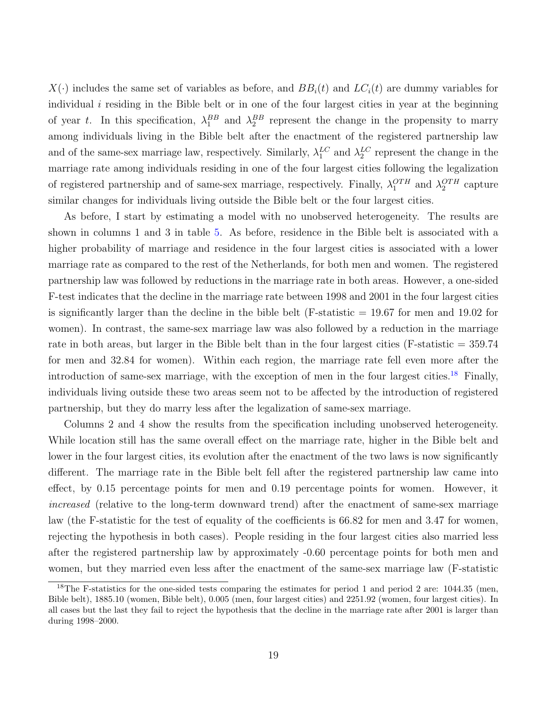$X(\cdot)$  includes the same set of variables as before, and  $BB_i(t)$  and  $LC_i(t)$  are dummy variables for individual  $i$  residing in the Bible belt or in one of the four largest cities in year at the beginning of year t. In this specification,  $\lambda_1^{BB}$  and  $\lambda_2^{BB}$  represent the change in the propensity to marry among individuals living in the Bible belt after the enactment of the registered partnership law and of the same-sex marriage law, respectively. Similarly,  $\lambda_1^{LC}$  and  $\lambda_2^{LC}$  represent the change in the marriage rate among individuals residing in one of the four largest cities following the legalization of registered partnership and of same-sex marriage, respectively. Finally,  $\lambda_1^{OTH}$  and  $\lambda_2^{OTH}$  capture similar changes for individuals living outside the Bible belt or the four largest cities.

As before, I start by estimating a model with no unobserved heterogeneity. The results are shown in columns 1 and 3 in table [5.](#page-33-10) As before, residence in the Bible belt is associated with a higher probability of marriage and residence in the four largest cities is associated with a lower marriage rate as compared to the rest of the Netherlands, for both men and women. The registered partnership law was followed by reductions in the marriage rate in both areas. However, a one-sided F-test indicates that the decline in the marriage rate between 1998 and 2001 in the four largest cities is significantly larger than the decline in the bible belt (F-statistic  $= 19.67$  for men and 19.02 for women). In contrast, the same-sex marriage law was also followed by a reduction in the marriage rate in both areas, but larger in the Bible belt than in the four largest cities (F-statistic  $= 359.74$ for men and 32.84 for women). Within each region, the marriage rate fell even more after the introduction of same-sex marriage, with the exception of men in the four largest cities.<sup>[18](#page-19-0)</sup> Finally, individuals living outside these two areas seem not to be affected by the introduction of registered partnership, but they do marry less after the legalization of same-sex marriage.

Columns 2 and 4 show the results from the specification including unobserved heterogeneity. While location still has the same overall effect on the marriage rate, higher in the Bible belt and lower in the four largest cities, its evolution after the enactment of the two laws is now significantly different. The marriage rate in the Bible belt fell after the registered partnership law came into effect, by 0.15 percentage points for men and 0.19 percentage points for women. However, it increased (relative to the long-term downward trend) after the enactment of same-sex marriage law (the F-statistic for the test of equality of the coefficients is 66.82 for men and 3.47 for women, rejecting the hypothesis in both cases). People residing in the four largest cities also married less after the registered partnership law by approximately -0.60 percentage points for both men and women, but they married even less after the enactment of the same-sex marriage law (F-statistic

<span id="page-19-0"></span><sup>&</sup>lt;sup>18</sup>The F-statistics for the one-sided tests comparing the estimates for period 1 and period 2 are: 1044.35 (men, Bible belt), 1885.10 (women, Bible belt), 0.005 (men, four largest cities) and 2251.92 (women, four largest cities). In all cases but the last they fail to reject the hypothesis that the decline in the marriage rate after 2001 is larger than during 1998–2000.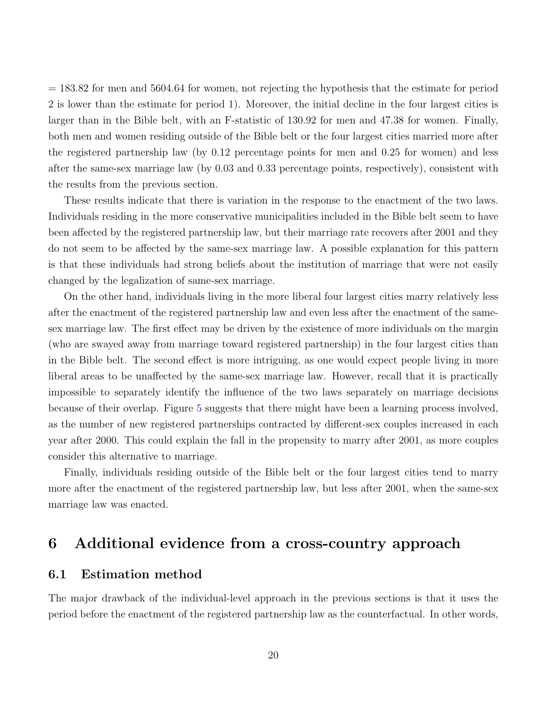= 183.82 for men and 5604.64 for women, not rejecting the hypothesis that the estimate for period 2 is lower than the estimate for period 1). Moreover, the initial decline in the four largest cities is larger than in the Bible belt, with an F-statistic of 130.92 for men and 47.38 for women. Finally, both men and women residing outside of the Bible belt or the four largest cities married more after the registered partnership law (by 0.12 percentage points for men and 0.25 for women) and less after the same-sex marriage law (by 0.03 and 0.33 percentage points, respectively), consistent with the results from the previous section.

These results indicate that there is variation in the response to the enactment of the two laws. Individuals residing in the more conservative municipalities included in the Bible belt seem to have been affected by the registered partnership law, but their marriage rate recovers after 2001 and they do not seem to be affected by the same-sex marriage law. A possible explanation for this pattern is that these individuals had strong beliefs about the institution of marriage that were not easily changed by the legalization of same-sex marriage.

On the other hand, individuals living in the more liberal four largest cities marry relatively less after the enactment of the registered partnership law and even less after the enactment of the samesex marriage law. The first effect may be driven by the existence of more individuals on the margin (who are swayed away from marriage toward registered partnership) in the four largest cities than in the Bible belt. The second effect is more intriguing, as one would expect people living in more liberal areas to be unaffected by the same-sex marriage law. However, recall that it is practically impossible to separately identify the influence of the two laws separately on marriage decisions because of their overlap. Figure [5](#page-33-10) suggests that there might have been a learning process involved, as the number of new registered partnerships contracted by different-sex couples increased in each year after 2000. This could explain the fall in the propensity to marry after 2001, as more couples consider this alternative to marriage.

Finally, individuals residing outside of the Bible belt or the four largest cities tend to marry more after the enactment of the registered partnership law, but less after 2001, when the same-sex marriage law was enacted.

## <span id="page-20-0"></span>6 Additional evidence from a cross-country approach

#### <span id="page-20-1"></span>6.1 Estimation method

The major drawback of the individual-level approach in the previous sections is that it uses the period before the enactment of the registered partnership law as the counterfactual. In other words,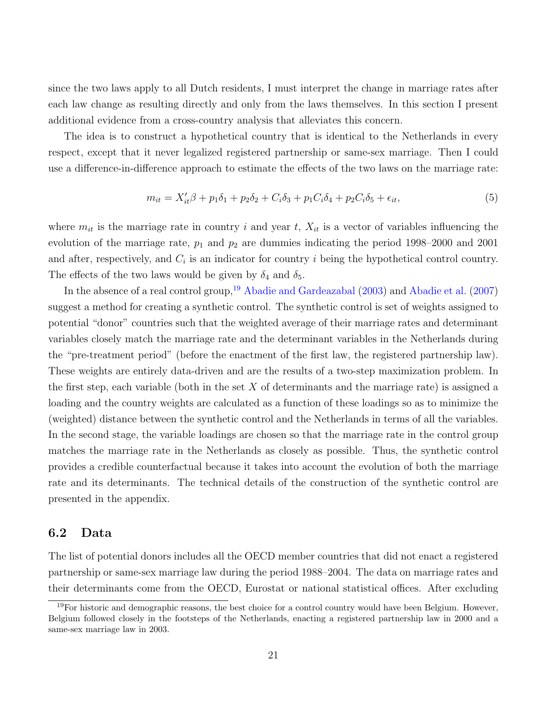since the two laws apply to all Dutch residents, I must interpret the change in marriage rates after each law change as resulting directly and only from the laws themselves. In this section I present additional evidence from a cross-country analysis that alleviates this concern.

The idea is to construct a hypothetical country that is identical to the Netherlands in every respect, except that it never legalized registered partnership or same-sex marriage. Then I could use a difference-in-difference approach to estimate the effects of the two laws on the marriage rate:

$$
m_{it} = X'_{it}\beta + p_1\delta_1 + p_2\delta_2 + C_i\delta_3 + p_1C_i\delta_4 + p_2C_i\delta_5 + \epsilon_{it},
$$
\n(5)

where  $m_{it}$  is the marriage rate in country i and year t,  $X_{it}$  is a vector of variables influencing the evolution of the marriage rate,  $p_1$  and  $p_2$  are dummies indicating the period 1998–2000 and 2001 and after, respectively, and  $C_i$  is an indicator for country i being the hypothetical control country. The effects of the two laws would be given by  $\delta_4$  and  $\delta_5$ .

In the absence of a real control group,<sup>[19](#page-21-0)</sup> [Abadie and Gardeazabal](#page-33-6)  $(2003)$  and [Abadie et al.](#page-33-11)  $(2007)$ suggest a method for creating a synthetic control. The synthetic control is set of weights assigned to potential "donor" countries such that the weighted average of their marriage rates and determinant variables closely match the marriage rate and the determinant variables in the Netherlands during the "pre-treatment period" (before the enactment of the first law, the registered partnership law). These weights are entirely data-driven and are the results of a two-step maximization problem. In the first step, each variable (both in the set  $X$  of determinants and the marriage rate) is assigned a loading and the country weights are calculated as a function of these loadings so as to minimize the (weighted) distance between the synthetic control and the Netherlands in terms of all the variables. In the second stage, the variable loadings are chosen so that the marriage rate in the control group matches the marriage rate in the Netherlands as closely as possible. Thus, the synthetic control provides a credible counterfactual because it takes into account the evolution of both the marriage rate and its determinants. The technical details of the construction of the synthetic control are presented in the appendix.

#### 6.2 Data

The list of potential donors includes all the OECD member countries that did not enact a registered partnership or same-sex marriage law during the period 1988–2004. The data on marriage rates and their determinants come from the OECD, Eurostat or national statistical offices. After excluding

<span id="page-21-0"></span> $19$ For historic and demographic reasons, the best choice for a control country would have been Belgium. However, Belgium followed closely in the footsteps of the Netherlands, enacting a registered partnership law in 2000 and a same-sex marriage law in 2003.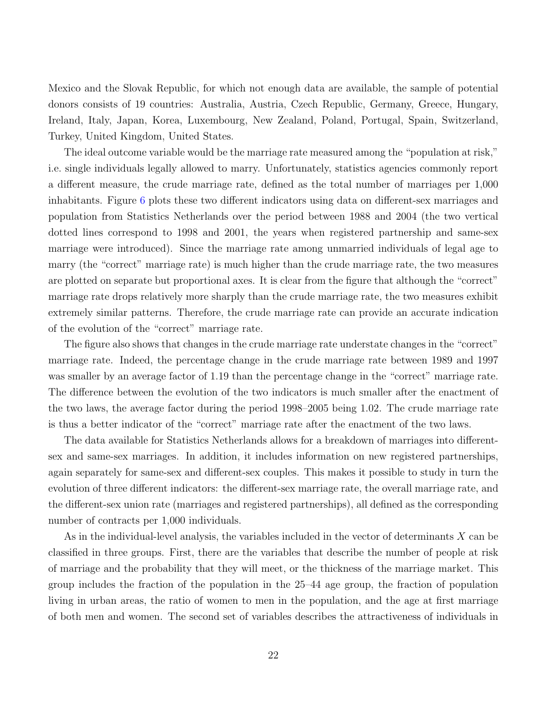Mexico and the Slovak Republic, for which not enough data are available, the sample of potential donors consists of 19 countries: Australia, Austria, Czech Republic, Germany, Greece, Hungary, Ireland, Italy, Japan, Korea, Luxembourg, New Zealand, Poland, Portugal, Spain, Switzerland, Turkey, United Kingdom, United States.

The ideal outcome variable would be the marriage rate measured among the "population at risk," i.e. single individuals legally allowed to marry. Unfortunately, statistics agencies commonly report a different measure, the crude marriage rate, defined as the total number of marriages per 1,000 inhabitants. Figure [6](#page-33-10) plots these two different indicators using data on different-sex marriages and population from Statistics Netherlands over the period between 1988 and 2004 (the two vertical dotted lines correspond to 1998 and 2001, the years when registered partnership and same-sex marriage were introduced). Since the marriage rate among unmarried individuals of legal age to marry (the "correct" marriage rate) is much higher than the crude marriage rate, the two measures are plotted on separate but proportional axes. It is clear from the figure that although the "correct" marriage rate drops relatively more sharply than the crude marriage rate, the two measures exhibit extremely similar patterns. Therefore, the crude marriage rate can provide an accurate indication of the evolution of the "correct" marriage rate.

The figure also shows that changes in the crude marriage rate understate changes in the "correct" marriage rate. Indeed, the percentage change in the crude marriage rate between 1989 and 1997 was smaller by an average factor of 1.19 than the percentage change in the "correct" marriage rate. The difference between the evolution of the two indicators is much smaller after the enactment of the two laws, the average factor during the period 1998–2005 being 1.02. The crude marriage rate is thus a better indicator of the "correct" marriage rate after the enactment of the two laws.

The data available for Statistics Netherlands allows for a breakdown of marriages into differentsex and same-sex marriages. In addition, it includes information on new registered partnerships, again separately for same-sex and different-sex couples. This makes it possible to study in turn the evolution of three different indicators: the different-sex marriage rate, the overall marriage rate, and the different-sex union rate (marriages and registered partnerships), all defined as the corresponding number of contracts per 1,000 individuals.

As in the individual-level analysis, the variables included in the vector of determinants X can be classified in three groups. First, there are the variables that describe the number of people at risk of marriage and the probability that they will meet, or the thickness of the marriage market. This group includes the fraction of the population in the 25–44 age group, the fraction of population living in urban areas, the ratio of women to men in the population, and the age at first marriage of both men and women. The second set of variables describes the attractiveness of individuals in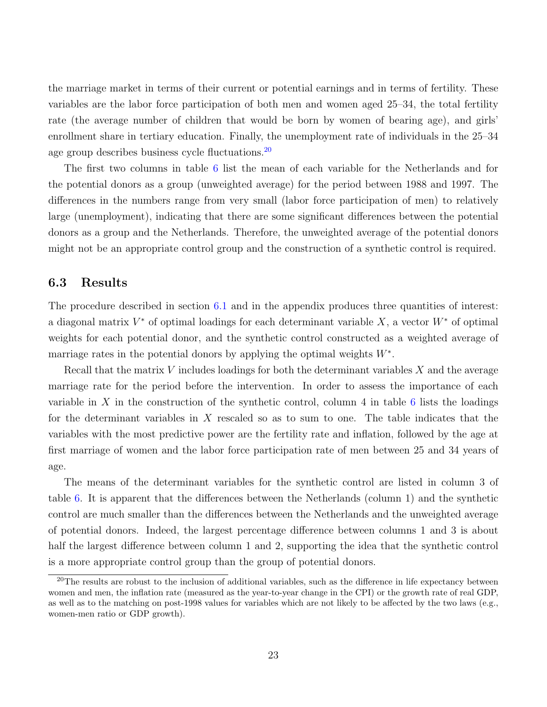the marriage market in terms of their current or potential earnings and in terms of fertility. These variables are the labor force participation of both men and women aged 25–34, the total fertility rate (the average number of children that would be born by women of bearing age), and girls' enrollment share in tertiary education. Finally, the unemployment rate of individuals in the 25–34 age group describes business cycle fluctuations.<sup>[20](#page-23-0)</sup>

The first two columns in table [6](#page-33-10) list the mean of each variable for the Netherlands and for the potential donors as a group (unweighted average) for the period between 1988 and 1997. The differences in the numbers range from very small (labor force participation of men) to relatively large (unemployment), indicating that there are some significant differences between the potential donors as a group and the Netherlands. Therefore, the unweighted average of the potential donors might not be an appropriate control group and the construction of a synthetic control is required.

#### 6.3 Results

The procedure described in section [6.1](#page-20-1) and in the appendix produces three quantities of interest: a diagonal matrix  $V^*$  of optimal loadings for each determinant variable  $X$ , a vector  $W^*$  of optimal weights for each potential donor, and the synthetic control constructed as a weighted average of marriage rates in the potential donors by applying the optimal weights  $W^*$ .

Recall that the matrix  $V$  includes loadings for both the determinant variables  $X$  and the average marriage rate for the period before the intervention. In order to assess the importance of each variable in X in the construction of the synthetic control, column 4 in table [6](#page-33-10) lists the loadings for the determinant variables in  $X$  rescaled so as to sum to one. The table indicates that the variables with the most predictive power are the fertility rate and inflation, followed by the age at first marriage of women and the labor force participation rate of men between 25 and 34 years of age.

The means of the determinant variables for the synthetic control are listed in column 3 of table [6.](#page-33-10) It is apparent that the differences between the Netherlands (column 1) and the synthetic control are much smaller than the differences between the Netherlands and the unweighted average of potential donors. Indeed, the largest percentage difference between columns 1 and 3 is about half the largest difference between column 1 and 2, supporting the idea that the synthetic control is a more appropriate control group than the group of potential donors.

<span id="page-23-0"></span><sup>&</sup>lt;sup>20</sup>The results are robust to the inclusion of additional variables, such as the difference in life expectancy between women and men, the inflation rate (measured as the year-to-year change in the CPI) or the growth rate of real GDP, as well as to the matching on post-1998 values for variables which are not likely to be affected by the two laws (e.g., women-men ratio or GDP growth).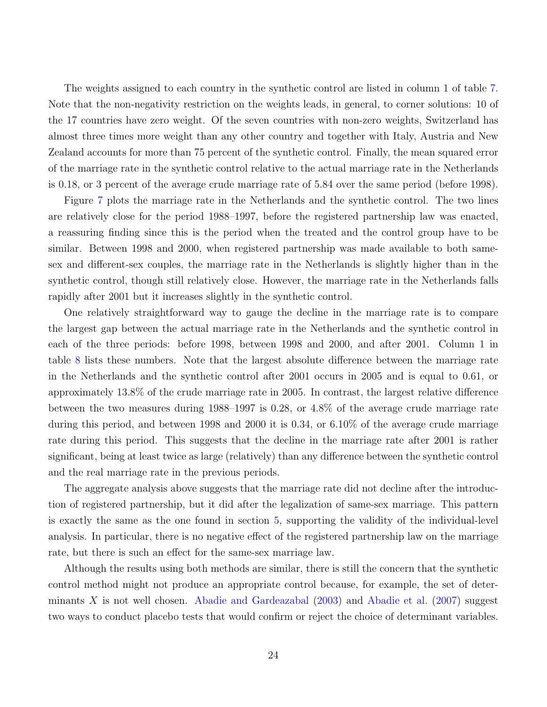The weights assigned to each country in the synthetic control are listed in column 1 of table [7.](#page-33-10) Note that the non-negativity restriction on the weights leads, in general, to corner solutions: 10 of the 17 countries have zero weight. Of the seven countries with non-zero weights, Switzerland has almost three times more weight than any other country and together with Italy, Austria and New Zealand accounts for more than 75 percent of the synthetic control. Finally, the mean squared error of the marriage rate in the synthetic control relative to the actual marriage rate in the Netherlands is 0.18, or 3 percent of the average crude marriage rate of 5.84 over the same period (before 1998).

Figure [7](#page-33-10) plots the marriage rate in the Netherlands and the synthetic control. The two lines are relatively close for the period 1988–1997, before the registered partnership law was enacted, a reassuring finding since this is the period when the treated and the control group have to be similar. Between 1998 and 2000, when registered partnership was made available to both samesex and different-sex couples, the marriage rate in the Netherlands is slightly higher than in the synthetic control, though still relatively close. However, the marriage rate in the Netherlands falls rapidly after 2001 but it increases slightly in the synthetic control.

One relatively straightforward way to gauge the decline in the marriage rate is to compare the largest gap between the actual marriage rate in the Netherlands and the synthetic control in each of the three periods: before 1998, between 1998 and 2000, and after 2001. Column 1 in table [8](#page-33-10) lists these numbers. Note that the largest absolute difference between the marriage rate in the Netherlands and the synthetic control after 2001 occurs in 2005 and is equal to 0.61, or approximately 13.8% of the crude marriage rate in 2005. In contrast, the largest relative difference between the two measures during 1988–1997 is 0.28, or 4.8% of the average crude marriage rate during this period, and between 1998 and 2000 it is 0.34, or 6.10% of the average crude marriage rate during this period. This suggests that the decline in the marriage rate after 2001 is rather significant, being at least twice as large (relatively) than any difference between the synthetic control and the real marriage rate in the previous periods.

The aggregate analysis above suggests that the marriage rate did not decline after the introduction of registered partnership, but it did after the legalization of same-sex marriage. This pattern is exactly the same as the one found in section [5,](#page-14-0) supporting the validity of the individual-level analysis. In particular, there is no negative effect of the registered partnership law on the marriage rate, but there is such an effect for the same-sex marriage law.

Although the results using both methods are similar, there is still the concern that the synthetic control method might not produce an appropriate control because, for example, the set of determinants X is not well chosen. [Abadie and Gardeazabal](#page-33-6) [\(2003\)](#page-33-6) and [Abadie et al.](#page-33-11) [\(2007\)](#page-33-11) suggest two ways to conduct placebo tests that would confirm or reject the choice of determinant variables.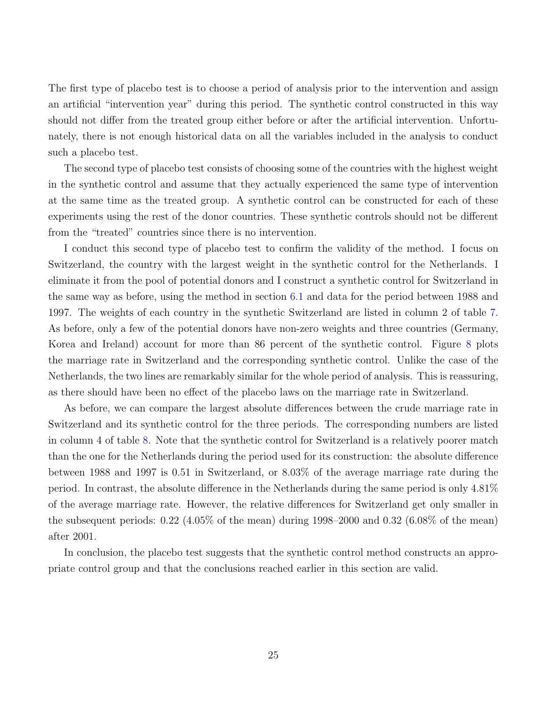The first type of placebo test is to choose a period of analysis prior to the intervention and assign an artificial "intervention year" during this period. The synthetic control constructed in this way should not differ from the treated group either before or after the artificial intervention. Unfortunately, there is not enough historical data on all the variables included in the analysis to conduct such a placebo test.

The second type of placebo test consists of choosing some of the countries with the highest weight in the synthetic control and assume that they actually experienced the same type of intervention at the same time as the treated group. A synthetic control can be constructed for each of these experiments using the rest of the donor countries. These synthetic controls should not be different from the "treated" countries since there is no intervention.

I conduct this second type of placebo test to confirm the validity of the method. I focus on Switzerland, the country with the largest weight in the synthetic control for the Netherlands. I eliminate it from the pool of potential donors and I construct a synthetic control for Switzerland in the same way as before, using the method in section [6.1](#page-20-1) and data for the period between 1988 and 1997. The weights of each country in the synthetic Switzerland are listed in column 2 of table [7.](#page-33-10) As before, only a few of the potential donors have non-zero weights and three countries (Germany, Korea and Ireland) account for more than 86 percent of the synthetic control. Figure [8](#page-33-10) plots the marriage rate in Switzerland and the corresponding synthetic control. Unlike the case of the Netherlands, the two lines are remarkably similar for the whole period of analysis. This is reassuring, as there should have been no effect of the placebo laws on the marriage rate in Switzerland.

As before, we can compare the largest absolute differences between the crude marriage rate in Switzerland and its synthetic control for the three periods. The corresponding numbers are listed in column 4 of table [8.](#page-33-10) Note that the synthetic control for Switzerland is a relatively poorer match than the one for the Netherlands during the period used for its construction: the absolute difference between 1988 and 1997 is 0.51 in Switzerland, or 8.03% of the average marriage rate during the period. In contrast, the absolute difference in the Netherlands during the same period is only 4.81% of the average marriage rate. However, the relative differences for Switzerland get only smaller in the subsequent periods:  $0.22$  (4.05% of the mean) during 1998–2000 and 0.32 (6.08% of the mean) after 2001.

In conclusion, the placebo test suggests that the synthetic control method constructs an appropriate control group and that the conclusions reached earlier in this section are valid.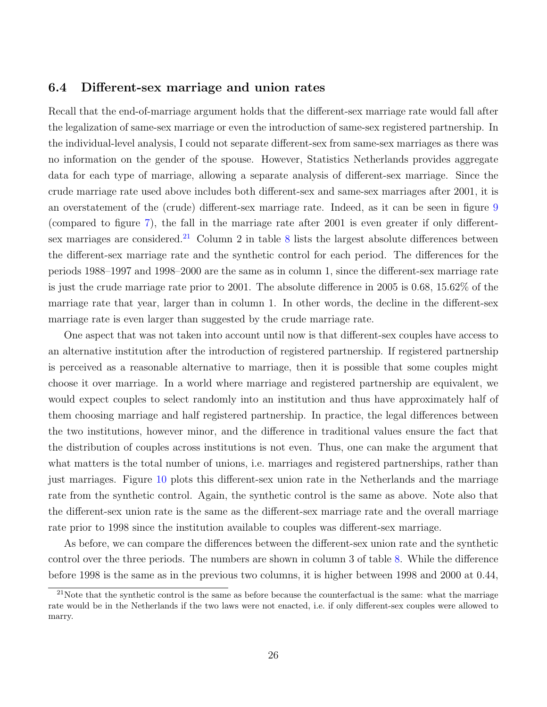#### 6.4 Different-sex marriage and union rates

Recall that the end-of-marriage argument holds that the different-sex marriage rate would fall after the legalization of same-sex marriage or even the introduction of same-sex registered partnership. In the individual-level analysis, I could not separate different-sex from same-sex marriages as there was no information on the gender of the spouse. However, Statistics Netherlands provides aggregate data for each type of marriage, allowing a separate analysis of different-sex marriage. Since the crude marriage rate used above includes both different-sex and same-sex marriages after 2001, it is an overstatement of the (crude) different-sex marriage rate. Indeed, as it can be seen in figure [9](#page-33-10) (compared to figure [7\)](#page-33-10), the fall in the marriage rate after 2001 is even greater if only different-sex marriages are considered.<sup>[21](#page-26-0)</sup> Column 2 in table [8](#page-33-10) lists the largest absolute differences between the different-sex marriage rate and the synthetic control for each period. The differences for the periods 1988–1997 and 1998–2000 are the same as in column 1, since the different-sex marriage rate is just the crude marriage rate prior to 2001. The absolute difference in 2005 is 0.68, 15.62% of the marriage rate that year, larger than in column 1. In other words, the decline in the different-sex marriage rate is even larger than suggested by the crude marriage rate.

One aspect that was not taken into account until now is that different-sex couples have access to an alternative institution after the introduction of registered partnership. If registered partnership is perceived as a reasonable alternative to marriage, then it is possible that some couples might choose it over marriage. In a world where marriage and registered partnership are equivalent, we would expect couples to select randomly into an institution and thus have approximately half of them choosing marriage and half registered partnership. In practice, the legal differences between the two institutions, however minor, and the difference in traditional values ensure the fact that the distribution of couples across institutions is not even. Thus, one can make the argument that what matters is the total number of unions, i.e. marriages and registered partnerships, rather than just marriages. Figure [10](#page-33-10) plots this different-sex union rate in the Netherlands and the marriage rate from the synthetic control. Again, the synthetic control is the same as above. Note also that the different-sex union rate is the same as the different-sex marriage rate and the overall marriage rate prior to 1998 since the institution available to couples was different-sex marriage.

As before, we can compare the differences between the different-sex union rate and the synthetic control over the three periods. The numbers are shown in column 3 of table [8.](#page-33-10) While the difference before 1998 is the same as in the previous two columns, it is higher between 1998 and 2000 at 0.44,

<span id="page-26-0"></span> $21$ Note that the synthetic control is the same as before because the counterfactual is the same: what the marriage rate would be in the Netherlands if the two laws were not enacted, i.e. if only different-sex couples were allowed to marry.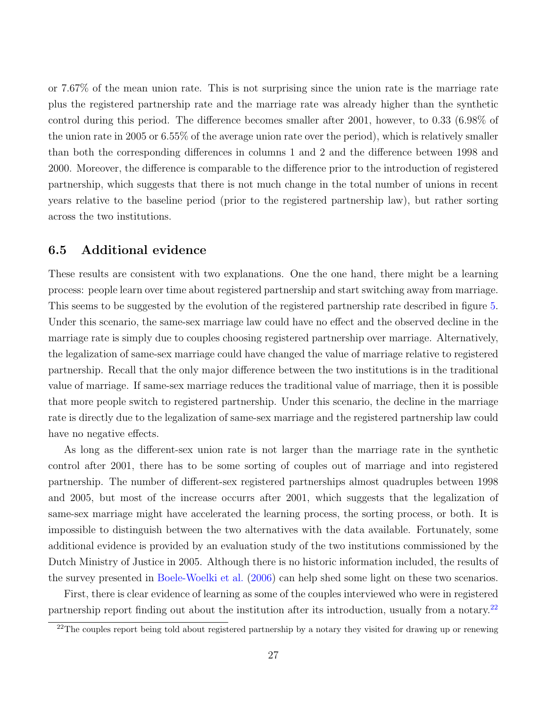or 7.67% of the mean union rate. This is not surprising since the union rate is the marriage rate plus the registered partnership rate and the marriage rate was already higher than the synthetic control during this period. The difference becomes smaller after 2001, however, to 0.33 (6.98% of the union rate in 2005 or 6.55% of the average union rate over the period), which is relatively smaller than both the corresponding differences in columns 1 and 2 and the difference between 1998 and 2000. Moreover, the difference is comparable to the difference prior to the introduction of registered partnership, which suggests that there is not much change in the total number of unions in recent years relative to the baseline period (prior to the registered partnership law), but rather sorting across the two institutions.

#### 6.5 Additional evidence

These results are consistent with two explanations. One the one hand, there might be a learning process: people learn over time about registered partnership and start switching away from marriage. This seems to be suggested by the evolution of the registered partnership rate described in figure [5.](#page-33-10) Under this scenario, the same-sex marriage law could have no effect and the observed decline in the marriage rate is simply due to couples choosing registered partnership over marriage. Alternatively, the legalization of same-sex marriage could have changed the value of marriage relative to registered partnership. Recall that the only major difference between the two institutions is in the traditional value of marriage. If same-sex marriage reduces the traditional value of marriage, then it is possible that more people switch to registered partnership. Under this scenario, the decline in the marriage rate is directly due to the legalization of same-sex marriage and the registered partnership law could have no negative effects.

As long as the different-sex union rate is not larger than the marriage rate in the synthetic control after 2001, there has to be some sorting of couples out of marriage and into registered partnership. The number of different-sex registered partnerships almost quadruples between 1998 and 2005, but most of the increase occurrs after 2001, which suggests that the legalization of same-sex marriage might have accelerated the learning process, the sorting process, or both. It is impossible to distinguish between the two alternatives with the data available. Fortunately, some additional evidence is provided by an evaluation study of the two institutions commissioned by the Dutch Ministry of Justice in 2005. Although there is no historic information included, the results of the survey presented in [Boele-Woelki et al.](#page-33-7) [\(2006\)](#page-33-7) can help shed some light on these two scenarios.

First, there is clear evidence of learning as some of the couples interviewed who were in registered partnership report finding out about the institution after its introduction, usually from a notary.[22](#page-27-0)

<span id="page-27-0"></span> $^{22}$ The couples report being told about registered partnership by a notary they visited for drawing up or renewing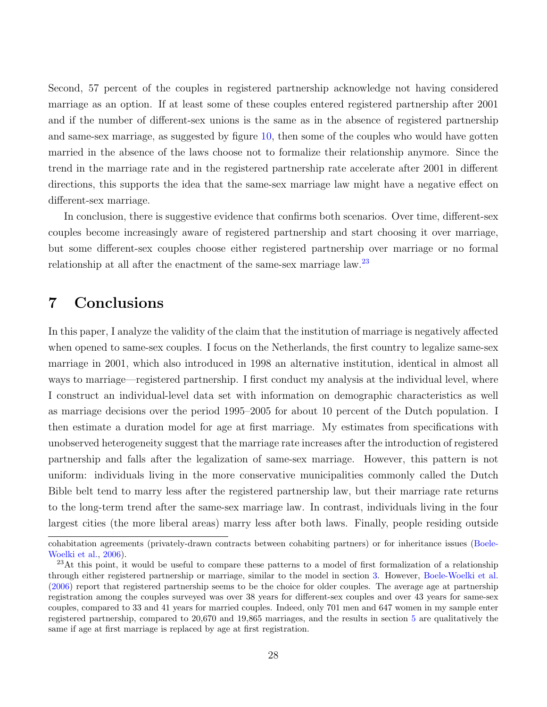Second, 57 percent of the couples in registered partnership acknowledge not having considered marriage as an option. If at least some of these couples entered registered partnership after 2001 and if the number of different-sex unions is the same as in the absence of registered partnership and same-sex marriage, as suggested by figure [10,](#page-33-10) then some of the couples who would have gotten married in the absence of the laws choose not to formalize their relationship anymore. Since the trend in the marriage rate and in the registered partnership rate accelerate after 2001 in different directions, this supports the idea that the same-sex marriage law might have a negative effect on different-sex marriage.

In conclusion, there is suggestive evidence that confirms both scenarios. Over time, different-sex couples become increasingly aware of registered partnership and start choosing it over marriage, but some different-sex couples choose either registered partnership over marriage or no formal relationship at all after the enactment of the same-sex marriage law.<sup>[23](#page-28-1)</sup>

# <span id="page-28-0"></span>7 Conclusions

In this paper, I analyze the validity of the claim that the institution of marriage is negatively affected when opened to same-sex couples. I focus on the Netherlands, the first country to legalize same-sex marriage in 2001, which also introduced in 1998 an alternative institution, identical in almost all ways to marriage—registered partnership. I first conduct my analysis at the individual level, where I construct an individual-level data set with information on demographic characteristics as well as marriage decisions over the period 1995–2005 for about 10 percent of the Dutch population. I then estimate a duration model for age at first marriage. My estimates from specifications with unobserved heterogeneity suggest that the marriage rate increases after the introduction of registered partnership and falls after the legalization of same-sex marriage. However, this pattern is not uniform: individuals living in the more conservative municipalities commonly called the Dutch Bible belt tend to marry less after the registered partnership law, but their marriage rate returns to the long-term trend after the same-sex marriage law. In contrast, individuals living in the four largest cities (the more liberal areas) marry less after both laws. Finally, people residing outside

cohabitation agreements (privately-drawn contracts between cohabiting partners) or for inheritance issues [\(Boele-](#page-33-7)[Woelki et al.,](#page-33-7) [2006\)](#page-33-7).

<span id="page-28-1"></span><sup>&</sup>lt;sup>23</sup>At this point, it would be useful to compare these patterns to a model of first formalization of a relationship through either registered partnership or marriage, similar to the model in section [3.](#page-6-0) However, [Boele-Woelki et al.](#page-33-7) [\(2006\)](#page-33-7) report that registered partnership seems to be the choice for older couples. The average age at partnership registration among the couples surveyed was over 38 years for different-sex couples and over 43 years for same-sex couples, compared to 33 and 41 years for married couples. Indeed, only 701 men and 647 women in my sample enter registered partnership, compared to 20,670 and 19,865 marriages, and the results in section [5](#page-14-0) are qualitatively the same if age at first marriage is replaced by age at first registration.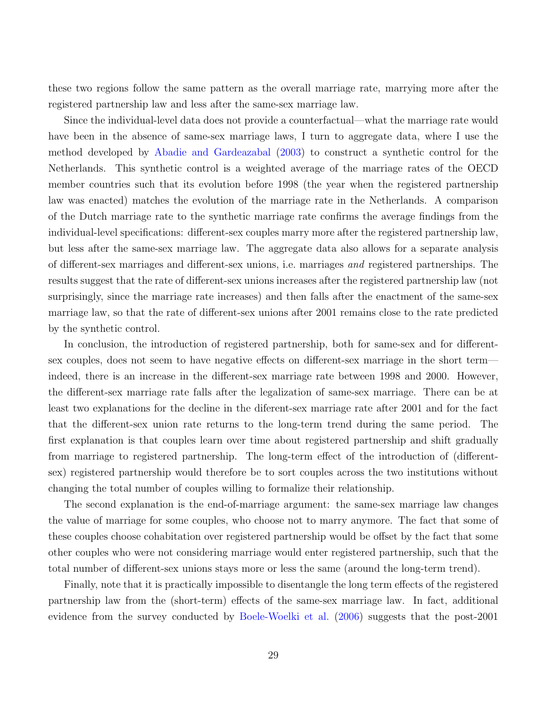these two regions follow the same pattern as the overall marriage rate, marrying more after the registered partnership law and less after the same-sex marriage law.

Since the individual-level data does not provide a counterfactual—what the marriage rate would have been in the absence of same-sex marriage laws, I turn to aggregate data, where I use the method developed by [Abadie and Gardeazabal](#page-33-6) [\(2003\)](#page-33-6) to construct a synthetic control for the Netherlands. This synthetic control is a weighted average of the marriage rates of the OECD member countries such that its evolution before 1998 (the year when the registered partnership law was enacted) matches the evolution of the marriage rate in the Netherlands. A comparison of the Dutch marriage rate to the synthetic marriage rate confirms the average findings from the individual-level specifications: different-sex couples marry more after the registered partnership law, but less after the same-sex marriage law. The aggregate data also allows for a separate analysis of different-sex marriages and different-sex unions, i.e. marriages and registered partnerships. The results suggest that the rate of different-sex unions increases after the registered partnership law (not surprisingly, since the marriage rate increases) and then falls after the enactment of the same-sex marriage law, so that the rate of different-sex unions after 2001 remains close to the rate predicted by the synthetic control.

In conclusion, the introduction of registered partnership, both for same-sex and for differentsex couples, does not seem to have negative effects on different-sex marriage in the short term indeed, there is an increase in the different-sex marriage rate between 1998 and 2000. However, the different-sex marriage rate falls after the legalization of same-sex marriage. There can be at least two explanations for the decline in the diferent-sex marriage rate after 2001 and for the fact that the different-sex union rate returns to the long-term trend during the same period. The first explanation is that couples learn over time about registered partnership and shift gradually from marriage to registered partnership. The long-term effect of the introduction of (differentsex) registered partnership would therefore be to sort couples across the two institutions without changing the total number of couples willing to formalize their relationship.

The second explanation is the end-of-marriage argument: the same-sex marriage law changes the value of marriage for some couples, who choose not to marry anymore. The fact that some of these couples choose cohabitation over registered partnership would be offset by the fact that some other couples who were not considering marriage would enter registered partnership, such that the total number of different-sex unions stays more or less the same (around the long-term trend).

Finally, note that it is practically impossible to disentangle the long term effects of the registered partnership law from the (short-term) effects of the same-sex marriage law. In fact, additional evidence from the survey conducted by [Boele-Woelki et al.](#page-33-7) [\(2006\)](#page-33-7) suggests that the post-2001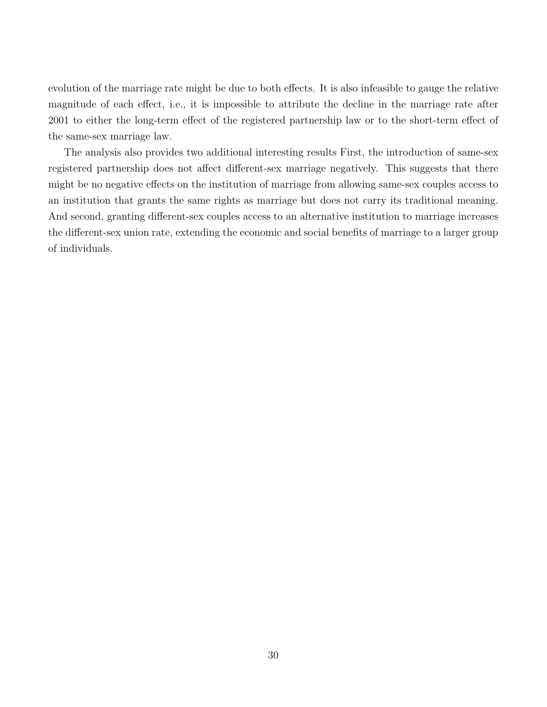evolution of the marriage rate might be due to both effects. It is also infeasible to gauge the relative magnitude of each effect, i.e., it is impossible to attribute the decline in the marriage rate after 2001 to either the long-term effect of the registered partnership law or to the short-term effect of the same-sex marriage law.

The analysis also provides two additional interesting results First, the introduction of same-sex registered partnership does not affect different-sex marriage negatively. This suggests that there might be no negative effects on the institution of marriage from allowing same-sex couples access to an institution that grants the same rights as marriage but does not carry its traditional meaning. And second, granting different-sex couples access to an alternative institution to marriage increases the different-sex union rate, extending the economic and social benefits of marriage to a larger group of individuals.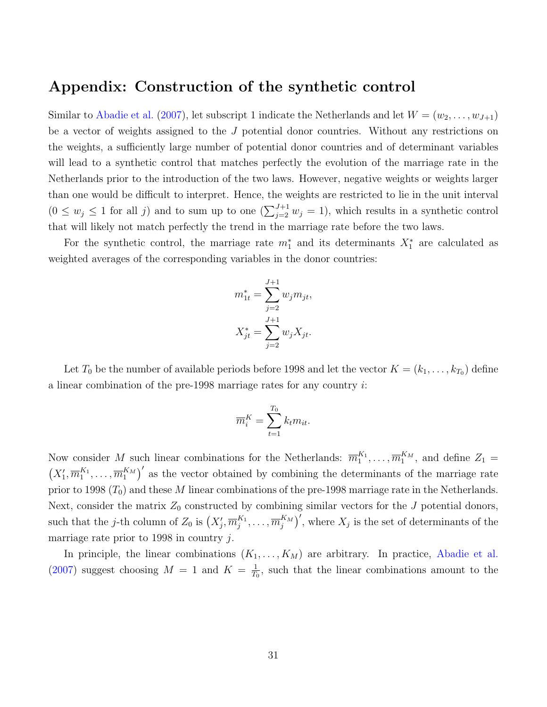### Appendix: Construction of the synthetic control

Similar to [Abadie et al.](#page-33-11) [\(2007\)](#page-33-11), let subscript 1 indicate the Netherlands and let  $W = (w_2, \ldots, w_{J+1})$ be a vector of weights assigned to the J potential donor countries. Without any restrictions on the weights, a sufficiently large number of potential donor countries and of determinant variables will lead to a synthetic control that matches perfectly the evolution of the marriage rate in the Netherlands prior to the introduction of the two laws. However, negative weights or weights larger than one would be difficult to interpret. Hence, the weights are restricted to lie in the unit interval  $(0 \le w_j \le 1$  for all j) and to sum up to one  $(\sum_{j=2}^{J+1} w_j = 1)$ , which results in a synthetic control that will likely not match perfectly the trend in the marriage rate before the two laws.

For the synthetic control, the marriage rate  $m_1^*$  and its determinants  $X_1^*$  are calculated as weighted averages of the corresponding variables in the donor countries:

$$
m_{1t}^{*} = \sum_{j=2}^{J+1} w_{j} m_{jt},
$$
  

$$
X_{jt}^{*} = \sum_{j=2}^{J+1} w_{j} X_{jt}.
$$

Let  $T_0$  be the number of available periods before 1998 and let the vector  $K = (k_1, \ldots, k_{T_0})$  define a linear combination of the pre-1998 marriage rates for any country i:

$$
\overline{m}_i^K = \sum_{t=1}^{T_0} k_t m_{it}.
$$

Now consider M such linear combinations for the Netherlands:  $\overline{m}_1^{K_1}, \ldots, \overline{m}_1^{K_M}$ , and define  $Z_1 =$  $(X'_1, \overline{m}_1^{K_1}, \ldots, \overline{m}_1^{K_M})'$  as the vector obtained by combining the determinants of the marriage rate prior to 1998  $(T_0)$  and these M linear combinations of the pre-1998 marriage rate in the Netherlands. Next, consider the matrix  $Z_0$  constructed by combining similar vectors for the  $J$  potential donors, such that the j-th column of  $Z_0$  is  $(X'_j, \overline{m}_j^{K_1}, \ldots, \overline{m}_j^{K_M})'$ , where  $X_j$  is the set of determinants of the marriage rate prior to 1998 in country j.

In principle, the linear combinations  $(K_1, \ldots, K_M)$  are arbitrary. In practice, [Abadie et al.](#page-33-11)  $(2007)$  suggest choosing  $M = 1$  and  $K = \frac{1}{L}$  $\frac{1}{T_0}$ , such that the linear combinations amount to the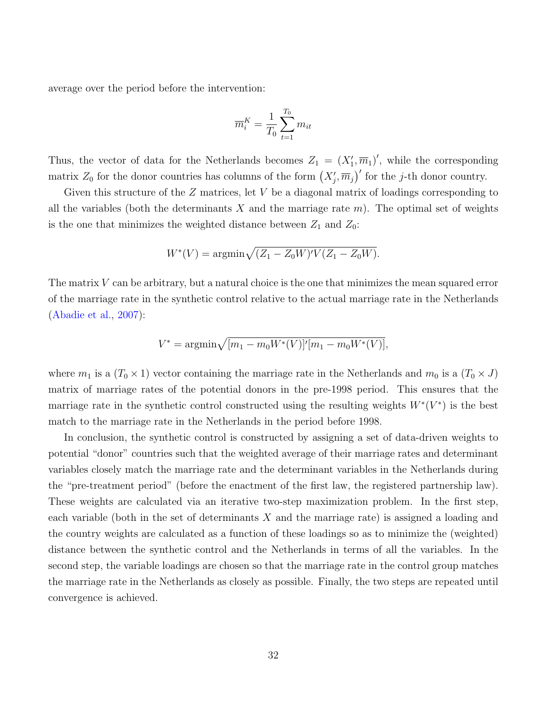average over the period before the intervention:

$$
\overline{m}_i^K = \frac{1}{T_0} \sum_{t=1}^{T_0} m_{it}
$$

Thus, the vector of data for the Netherlands becomes  $Z_1 = (X_1', \overline{m}_1)'$ , while the corresponding matrix  $Z_0$  for the donor countries has columns of the form  $(X'_j, \overline{m}_j)'$  for the j-th donor country.

Given this structure of the  $Z$  matrices, let  $V$  be a diagonal matrix of loadings corresponding to all the variables (both the determinants X and the marriage rate  $m$ ). The optimal set of weights is the one that minimizes the weighted distance between  $Z_1$  and  $Z_0$ :

$$
W^*(V) = \operatorname{argmin} \sqrt{(Z_1 - Z_0 W)'V(Z_1 - Z_0 W)}.
$$

The matrix V can be arbitrary, but a natural choice is the one that minimizes the mean squared error of the marriage rate in the synthetic control relative to the actual marriage rate in the Netherlands [\(Abadie et al.,](#page-33-11) [2007\)](#page-33-11):

$$
V^* = \operatorname{argmin} \sqrt{[m_1 - m_0 W^*(V)]'[m_1 - m_0 W^*(V)]},
$$

where  $m_1$  is a  $(T_0 \times 1)$  vector containing the marriage rate in the Netherlands and  $m_0$  is a  $(T_0 \times J)$ matrix of marriage rates of the potential donors in the pre-1998 period. This ensures that the marriage rate in the synthetic control constructed using the resulting weights  $W^*(V^*)$  is the best match to the marriage rate in the Netherlands in the period before 1998.

In conclusion, the synthetic control is constructed by assigning a set of data-driven weights to potential "donor" countries such that the weighted average of their marriage rates and determinant variables closely match the marriage rate and the determinant variables in the Netherlands during the "pre-treatment period" (before the enactment of the first law, the registered partnership law). These weights are calculated via an iterative two-step maximization problem. In the first step, each variable (both in the set of determinants X and the marriage rate) is assigned a loading and the country weights are calculated as a function of these loadings so as to minimize the (weighted) distance between the synthetic control and the Netherlands in terms of all the variables. In the second step, the variable loadings are chosen so that the marriage rate in the control group matches the marriage rate in the Netherlands as closely as possible. Finally, the two steps are repeated until convergence is achieved.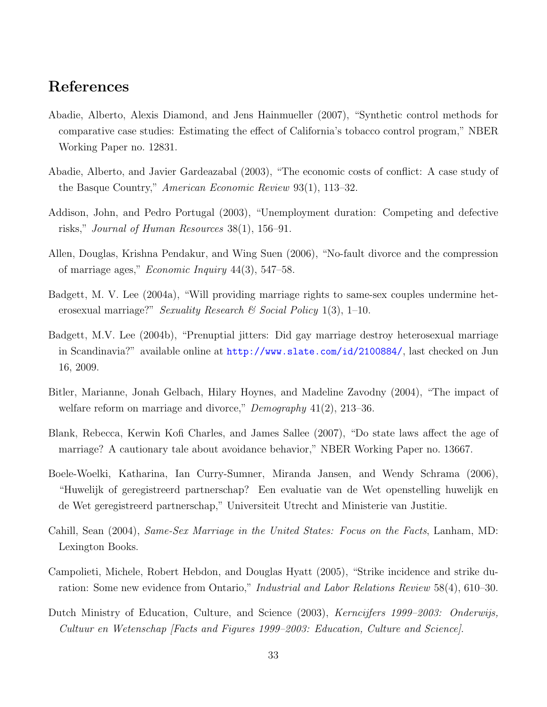# <span id="page-33-10"></span>References

- <span id="page-33-11"></span>Abadie, Alberto, Alexis Diamond, and Jens Hainmueller (2007), "Synthetic control methods for comparative case studies: Estimating the effect of California's tobacco control program," NBER Working Paper no. 12831.
- <span id="page-33-6"></span>Abadie, Alberto, and Javier Gardeazabal (2003), "The economic costs of conflict: A case study of the Basque Country," American Economic Review 93(1), 113–32.
- <span id="page-33-8"></span>Addison, John, and Pedro Portugal (2003), "Unemployment duration: Competing and defective risks," Journal of Human Resources 38(1), 156–91.
- <span id="page-33-0"></span>Allen, Douglas, Krishna Pendakur, and Wing Suen (2006), "No-fault divorce and the compression of marriage ages," *Economic Inquiry*  $44(3)$ ,  $547-58$ .
- <span id="page-33-3"></span>Badgett, M. V. Lee (2004a), "Will providing marriage rights to same-sex couples undermine heterosexual marriage?" Sexuality Research & Social Policy 1(3), 1–10.
- <span id="page-33-4"></span>Badgett, M.V. Lee (2004b), "Prenuptial jitters: Did gay marriage destroy heterosexual marriage in Scandinavia?" available online at <http://www.slate.com/id/2100884/>, last checked on Jun 16, 2009.
- <span id="page-33-2"></span>Bitler, Marianne, Jonah Gelbach, Hilary Hoynes, and Madeline Zavodny (2004), "The impact of welfare reform on marriage and divorce," *Demography* 41(2), 213–36.
- <span id="page-33-1"></span>Blank, Rebecca, Kerwin Kofi Charles, and James Sallee (2007), "Do state laws affect the age of marriage? A cautionary tale about avoidance behavior," NBER Working Paper no. 13667.
- <span id="page-33-7"></span>Boele-Woelki, Katharina, Ian Curry-Sumner, Miranda Jansen, and Wendy Schrama (2006), "Huwelijk of geregistreerd partnerschap? Een evaluatie van de Wet openstelling huwelijk en de Wet geregistreerd partnerschap," Universiteit Utrecht and Ministerie van Justitie.
- <span id="page-33-5"></span>Cahill, Sean (2004), Same-Sex Marriage in the United States: Focus on the Facts, Lanham, MD: Lexington Books.
- <span id="page-33-9"></span>Campolieti, Michele, Robert Hebdon, and Douglas Hyatt (2005), "Strike incidence and strike duration: Some new evidence from Ontario," *Industrial and Labor Relations Review* 58(4), 610–30.
- <span id="page-33-12"></span>Dutch Ministry of Education, Culture, and Science (2003), Kerncijfers 1999–2003: Onderwijs, Cultuur en Wetenschap [Facts and Figures 1999–2003: Education, Culture and Science].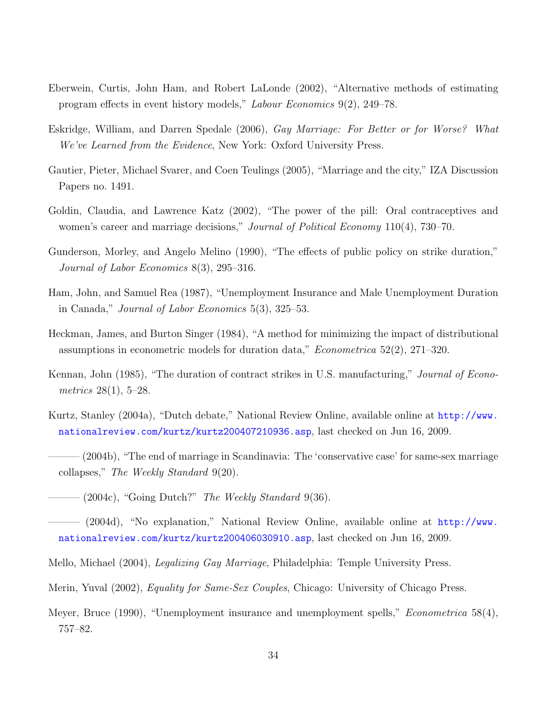- <span id="page-34-12"></span>Eberwein, Curtis, John Ham, and Robert LaLonde (2002), "Alternative methods of estimating program effects in event history models," Labour Economics 9(2), 249–78.
- <span id="page-34-6"></span>Eskridge, William, and Darren Spedale (2006), Gay Marriage: For Better or for Worse? What We've Learned from the Evidence, New York: Oxford University Press.
- <span id="page-34-14"></span>Gautier, Pieter, Michael Svarer, and Coen Teulings (2005), "Marriage and the city," IZA Discussion Papers no. 1491.
- <span id="page-34-0"></span>Goldin, Claudia, and Lawrence Katz (2002), "The power of the pill: Oral contraceptives and women's career and marriage decisions," *Journal of Political Economy* 110(4), 730–70.
- <span id="page-34-11"></span>Gunderson, Morley, and Angelo Melino (1990), "The effects of public policy on strike duration," Journal of Labor Economics 8(3), 295–316.
- <span id="page-34-8"></span>Ham, John, and Samuel Rea (1987), "Unemployment Insurance and Male Unemployment Duration in Canada," Journal of Labor Economics 5(3), 325–53.
- <span id="page-34-13"></span>Heckman, James, and Burton Singer (1984), "A method for minimizing the impact of distributional assumptions in econometric models for duration data," Econometrica 52(2), 271–320.
- <span id="page-34-10"></span>Kennan, John (1985), "The duration of contract strikes in U.S. manufacturing," *Journal of Econo*metrics 28(1), 5–28.
- <span id="page-34-1"></span>Kurtz, Stanley (2004a), "Dutch debate," National Review Online, available online at [http://www.](http://www.nationalreview.com/kurtz/kurtz200407210936.asp) [nationalreview.com/kurtz/kurtz200407210936.asp](http://www.nationalreview.com/kurtz/kurtz200407210936.asp), last checked on Jun 16, 2009.
- <span id="page-34-2"></span> $(2004b)$ , "The end of marriage in Scandinavia: The 'conservative case' for same-sex marriage collapses," The Weekly Standard 9(20).
- <span id="page-34-3"></span> $-$  (2004c), "Going Dutch?" *The Weekly Standard* 9(36).
- <span id="page-34-4"></span> $(2004d)$ , "No explanation," National Review Online, available online at [http://www.](http://www.nationalreview.com/kurtz/kurtz200406030910.asp) [nationalreview.com/kurtz/kurtz200406030910.asp](http://www.nationalreview.com/kurtz/kurtz200406030910.asp), last checked on Jun 16, 2009.
- <span id="page-34-5"></span>Mello, Michael (2004), Legalizing Gay Marriage, Philadelphia: Temple University Press.
- <span id="page-34-7"></span>Merin, Yuval (2002), Equality for Same-Sex Couples, Chicago: University of Chicago Press.
- <span id="page-34-9"></span>Meyer, Bruce (1990), "Unemployment insurance and unemployment spells," *Econometrica* 58(4), 757–82.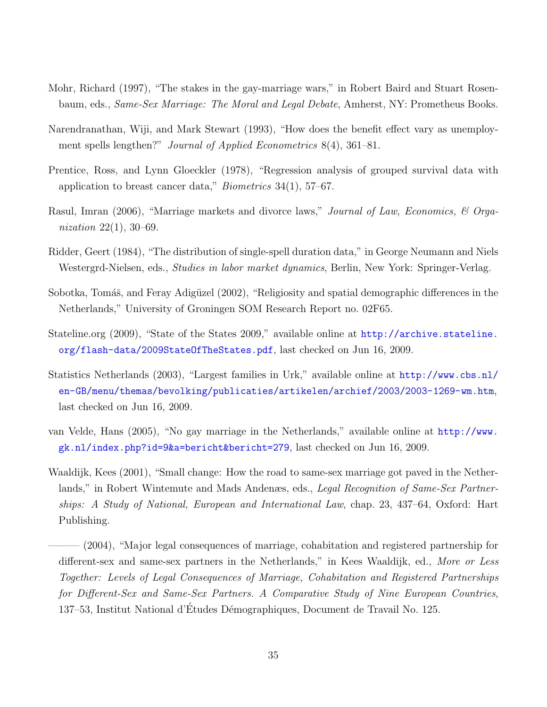- <span id="page-35-1"></span>Mohr, Richard (1997), "The stakes in the gay-marriage wars," in Robert Baird and Stuart Rosenbaum, eds., Same-Sex Marriage: The Moral and Legal Debate, Amherst, NY: Prometheus Books.
- <span id="page-35-10"></span>Narendranathan, Wiji, and Mark Stewart (1993), "How does the benefit effect vary as unemployment spells lengthen?" *Journal of Applied Econometrics* 8(4), 361–81.
- <span id="page-35-6"></span>Prentice, Ross, and Lynn Gloeckler (1978), "Regression analysis of grouped survival data with application to breast cancer data," *Biometrics*  $34(1)$ ,  $57-67$ .
- <span id="page-35-0"></span>Rasul, Imran (2006), "Marriage markets and divorce laws," *Journal of Law, Economics, & Orga*nization 22(1), 30–69.
- <span id="page-35-7"></span>Ridder, Geert (1984), "The distribution of single-spell duration data," in George Neumann and Niels Westergrd-Nielsen, eds., *Studies in labor market dynamics*, Berlin, New York: Springer-Verlag.
- <span id="page-35-8"></span>Sobotka, Tomáš, and Feray Adigüzel (2002), "Religiosity and spatial demographic differences in the Netherlands," University of Groningen SOM Research Report no. 02F65.
- <span id="page-35-2"></span>Stateline.org (2009), "State of the States 2009," available online at [http://archive.stateline.](http://archive.stateline.org/flash-data/2009StateOfTheStates.pdf) [org/flash-data/2009StateOfTheStates.pdf](http://archive.stateline.org/flash-data/2009StateOfTheStates.pdf), last checked on Jun 16, 2009.
- <span id="page-35-9"></span>Statistics Netherlands (2003), "Largest families in Urk," available online at [http://www.cbs.nl/](http://www.cbs.nl/en-GB/menu/themas/bevolking/publicaties/artikelen/archief/2003/2003-1269-wm.htm) [en-GB/menu/themas/bevolking/publicaties/artikelen/archief/2003/2003-1269-wm.htm](http://www.cbs.nl/en-GB/menu/themas/bevolking/publicaties/artikelen/archief/2003/2003-1269-wm.htm), last checked on Jun 16, 2009.
- <span id="page-35-3"></span>van Velde, Hans (2005), "No gay marriage in the Netherlands," available online at [http://www.](http://www.gk.nl/index.php?id=9&a=bericht&bericht=279) [gk.nl/index.php?id=9&a=bericht&bericht=279](http://www.gk.nl/index.php?id=9&a=bericht&bericht=279), last checked on Jun 16, 2009.
- <span id="page-35-5"></span><span id="page-35-4"></span>Waaldijk, Kees (2001), "Small change: How the road to same-sex marriage got paved in the Netherlands," in Robert Wintemute and Mads Andenæs, eds., Legal Recognition of Same-Sex Partnerships: A Study of National, European and International Law, chap. 23, 437–64, Oxford: Hart Publishing.
	- $-(2004)$ , "Major legal consequences of marriage, cohabitation and registered partnership for different-sex and same-sex partners in the Netherlands," in Kees Waaldijk, ed., More or Less Together: Levels of Legal Consequences of Marriage, Cohabitation and Registered Partnerships for Different-Sex and Same-Sex Partners. A Comparative Study of Nine European Countries, 137–53, Institut National d'Études Démographiques, Document de Travail No. 125.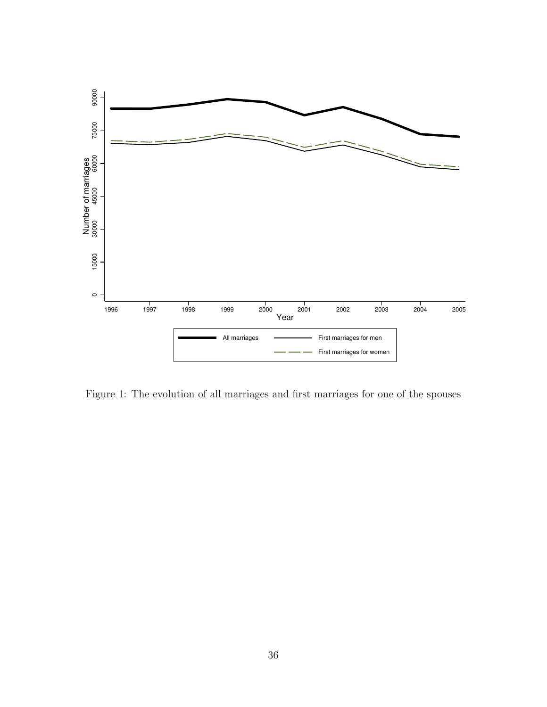

Figure 1: The evolution of all marriages and first marriages for one of the spouses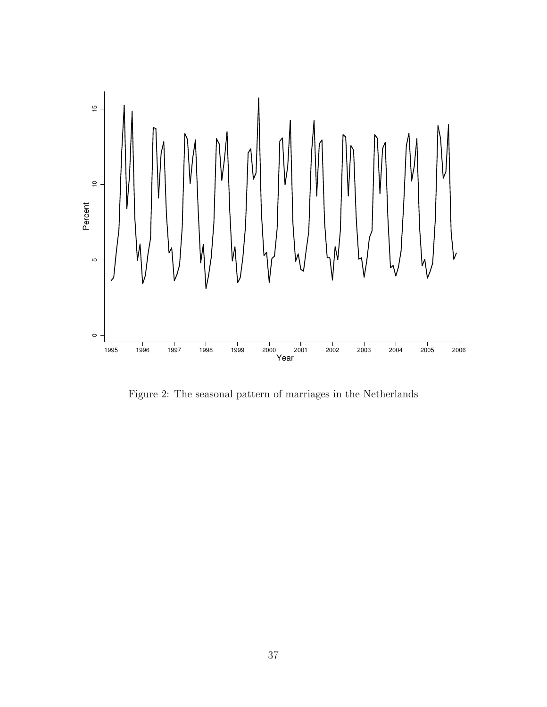

Figure 2: The seasonal pattern of marriages in the Netherlands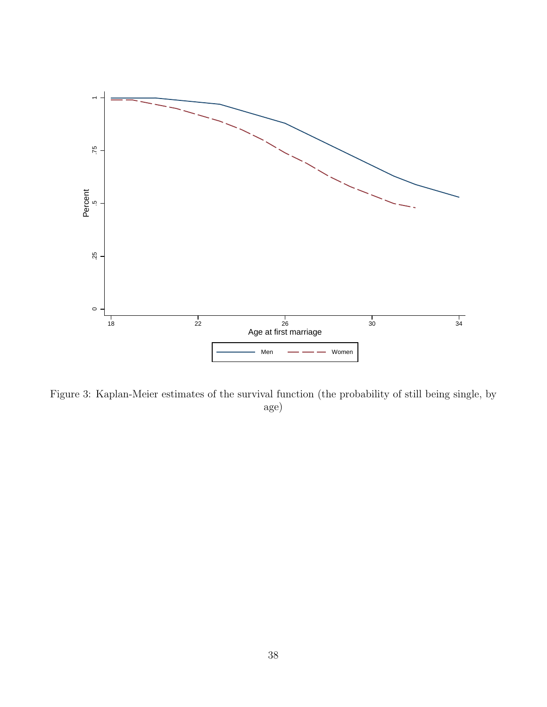

Figure 3: Kaplan-Meier estimates of the survival function (the probability of still being single, by age)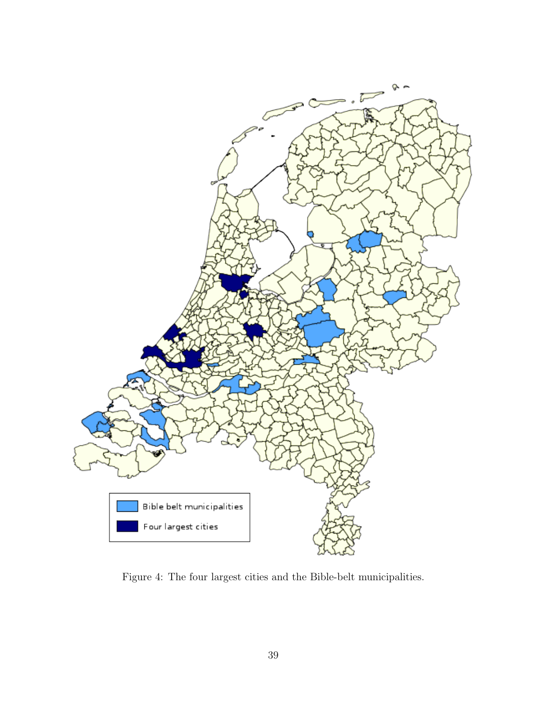

Figure 4: The four largest cities and the Bible-belt municipalities.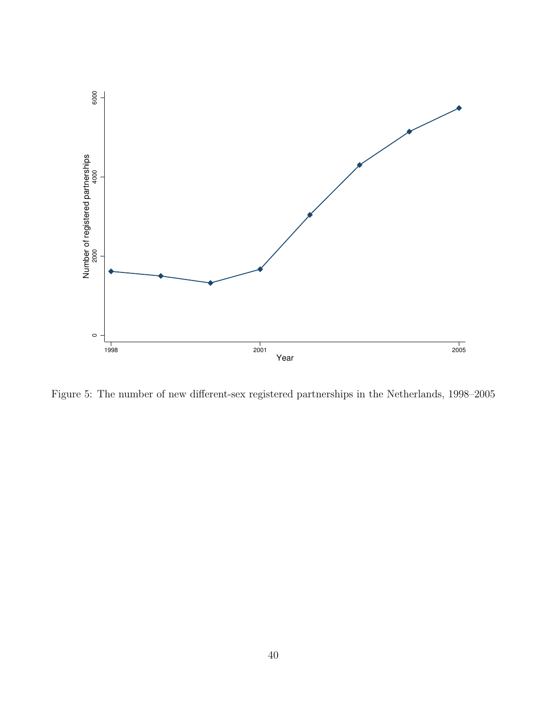

Figure 5: The number of new different-sex registered partnerships in the Netherlands, 1998–2005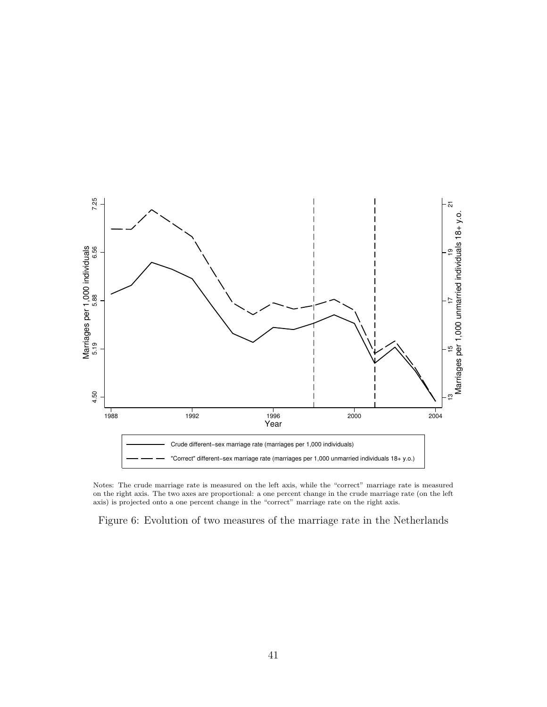

Notes: The crude marriage rate is measured on the left axis, while the "correct" marriage rate is measured on the right axis. The two axes are proportional: a one percent change in the crude marriage rate (on the left axis) is projected onto a one percent change in the "correct" marriage rate on the right axis.

Figure 6: Evolution of two measures of the marriage rate in the Netherlands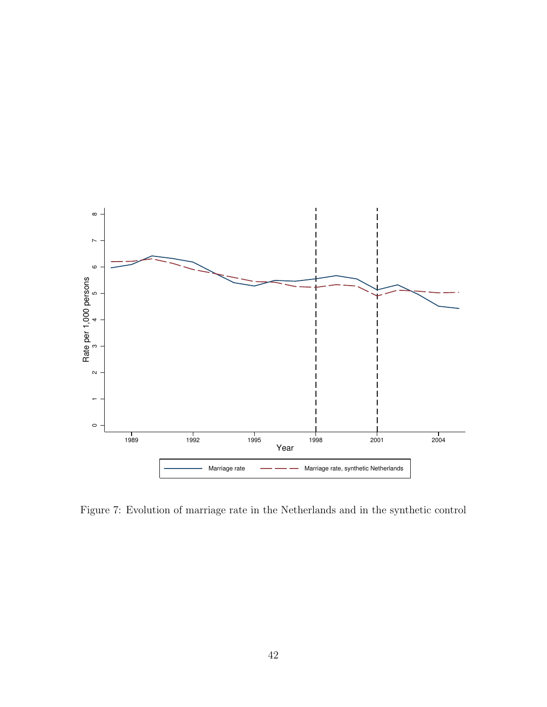

Figure 7: Evolution of marriage rate in the Netherlands and in the synthetic control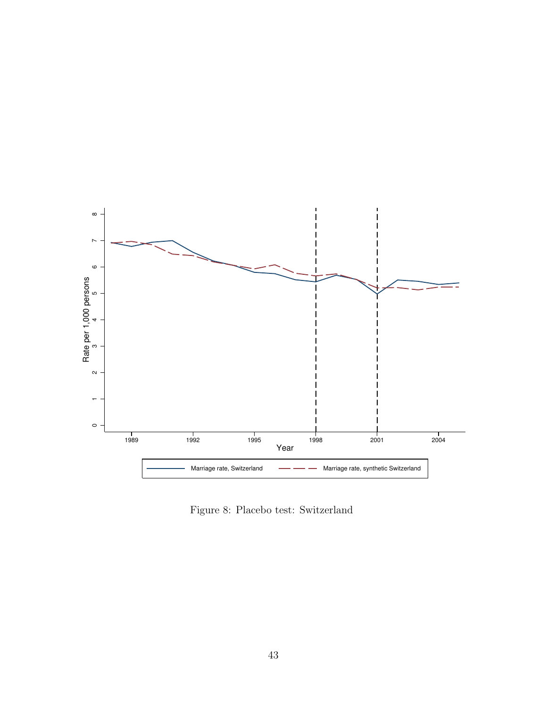

Figure 8: Placebo test: Switzerland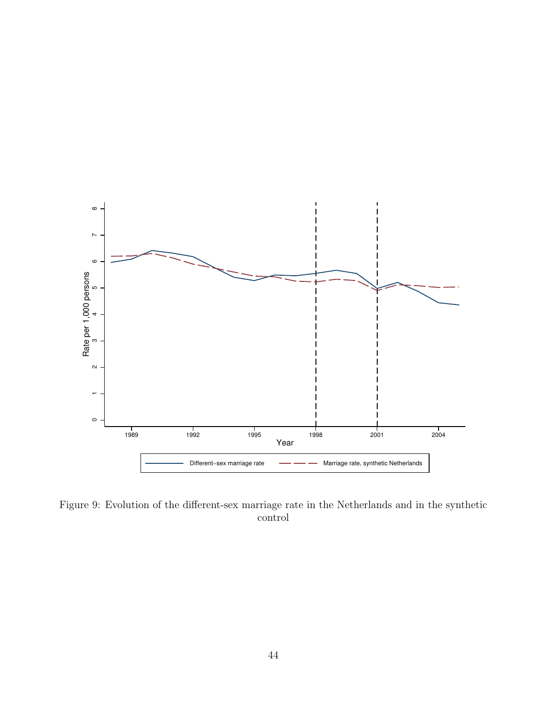

Figure 9: Evolution of the different-sex marriage rate in the Netherlands and in the synthetic control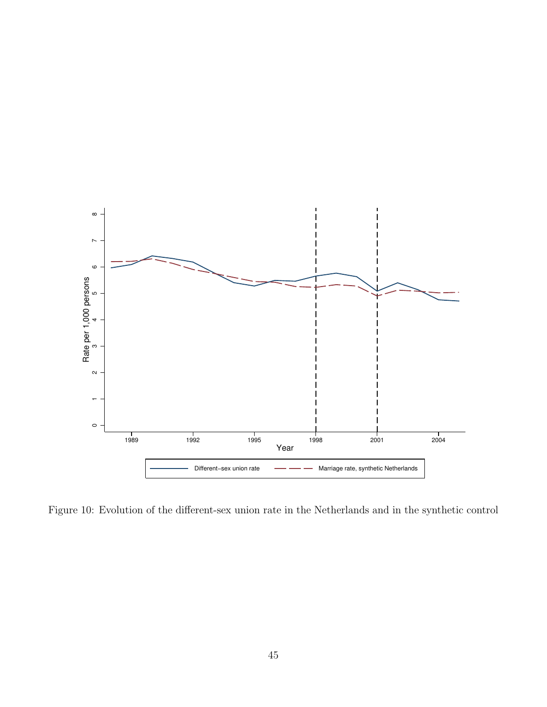

Figure 10: Evolution of the different-sex union rate in the Netherlands and in the synthetic control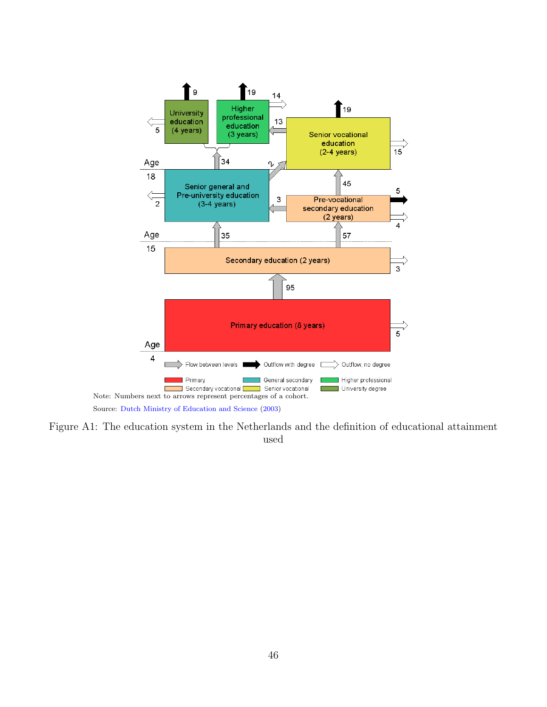

Figure A1: The education system in the Netherlands and the definition of educational attainment used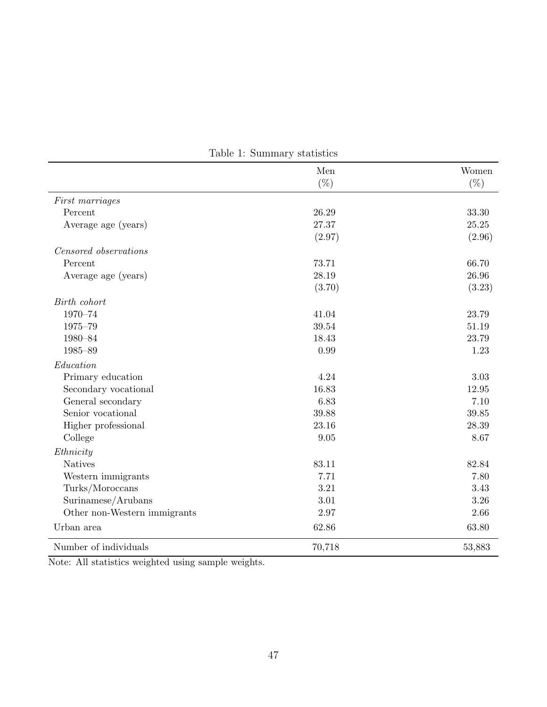|                              | Men    | Women  |
|------------------------------|--------|--------|
|                              | $(\%)$ | $(\%)$ |
| First marriages              |        |        |
| Percent                      | 26.29  | 33.30  |
| Average age (years)          | 27.37  | 25.25  |
|                              | (2.97) | (2.96) |
| Censored observations        |        |        |
| Percent                      | 73.71  | 66.70  |
| Average age (years)          | 28.19  | 26.96  |
|                              | (3.70) | (3.23) |
| Birth cohort                 |        |        |
| 1970-74                      | 41.04  | 23.79  |
| 1975-79                      | 39.54  | 51.19  |
| 1980-84                      | 18.43  | 23.79  |
| 1985-89                      | 0.99   | 1.23   |
| Education                    |        |        |
| Primary education            | 4.24   | 3.03   |
| Secondary vocational         | 16.83  | 12.95  |
| General secondary            | 6.83   | 7.10   |
| Senior vocational            | 39.88  | 39.85  |
| Higher professional          | 23.16  | 28.39  |
| College                      | 9.05   | 8.67   |
| Ethnicity                    |        |        |
| <b>Natives</b>               | 83.11  | 82.84  |
| Western immigrants           | 7.71   | 7.80   |
| Turks/Moroccans              | 3.21   | 3.43   |
| Surinamese/Arubans           | 3.01   | 3.26   |
| Other non-Western immigrants | 2.97   | 2.66   |
| Urban area                   | 62.86  | 63.80  |
| Number of individuals        | 70,718 | 53,883 |

Table 1: Summary statistics

Note: All statistics weighted using sample weights.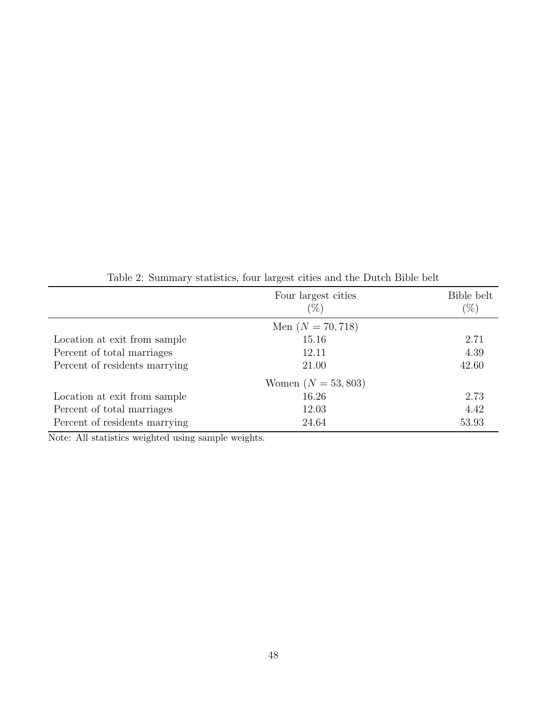|                               | Four largest cities   | Bible belt |
|-------------------------------|-----------------------|------------|
|                               | $(\%)$                | $(\%)$     |
|                               | Men $(N = 70, 718)$   |            |
| Location at exit from sample  | 15.16                 | 2.71       |
| Percent of total marriages    | 12.11                 | 4.39       |
| Percent of residents marrying | 21.00                 | 42.60      |
|                               | Women $(N = 53, 803)$ |            |
| Location at exit from sample  | 16.26                 | 2.73       |
| Percent of total marriages    | 12.03                 | 4.42       |
| Percent of residents marrying | 24.64                 | 53.93      |

Table 2: Summary statistics, four largest cities and the Dutch Bible belt

Note: All statistics weighted using sample weights.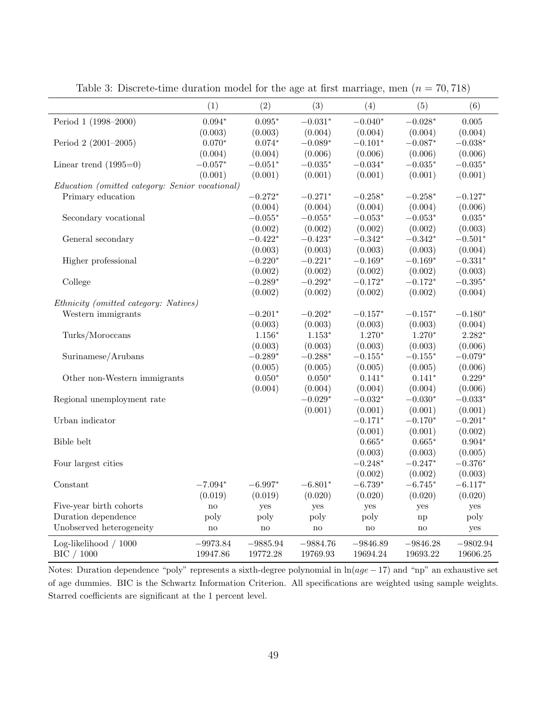|                                                 | (1)                    | (2)             | (3)        | (4)        | (5)             | (6)             |
|-------------------------------------------------|------------------------|-----------------|------------|------------|-----------------|-----------------|
| Period 1 (1998-2000)                            | $0.094*$               | $0.095*$        | $-0.031*$  | $-0.040*$  | $-0.028*$       | 0.005           |
|                                                 | (0.003)                | (0.003)         | (0.004)    | (0.004)    | (0.004)         | (0.004)         |
| Period 2 (2001-2005)                            | $0.070*$               | $0.074*$        | $-0.089*$  | $-0.101*$  | $-0.087*$       | $-0.038*$       |
|                                                 | (0.004)                | (0.004)         | (0.006)    | (0.006)    | (0.006)         | (0.006)         |
| Linear trend $(1995=0)$                         | $-0.057^{\ast}$        | $-0.051^{\ast}$ | $-0.035*$  | $-0.034*$  | $-0.035*$       | $-0.035^{\ast}$ |
|                                                 | (0.001)                | (0.001)         | (0.001)    | (0.001)    | (0.001)         | (0.001)         |
| Education (omitted category: Senior vocational) |                        |                 |            |            |                 |                 |
| Primary education                               |                        | $-0.272*$       | $-0.271*$  | $-0.258*$  | $-0.258*$       | $-0.127*$       |
|                                                 |                        | (0.004)         | (0.004)    | (0.004)    | (0.004)         | (0.006)         |
| Secondary vocational                            |                        | $-0.055*$       | $-0.055*$  | $-0.053*$  | $-0.053*$       | $0.035*$        |
|                                                 |                        | (0.002)         | (0.002)    | (0.002)    | (0.002)         | (0.003)         |
| General secondary                               |                        | $-0.422*$       | $-0.423*$  | $-0.342*$  | $-0.342*$       | $-0.501*$       |
|                                                 |                        | (0.003)         | (0.003)    | (0.003)    | (0.003)         | (0.004)         |
| Higher professional                             |                        | $-0.220*$       | $-0.221*$  | $-0.169*$  | $-0.169*$       | $-0.331*$       |
|                                                 |                        | (0.002)         | (0.002)    | (0.002)    | (0.002)         | (0.003)         |
| College                                         |                        | $-0.289^{\ast}$ | $-0.292*$  | $-0.172*$  | $-0.172*$       | $-0.395^{\ast}$ |
|                                                 |                        | (0.002)         | (0.002)    | (0.002)    | (0.002)         | (0.004)         |
| Ethnicity (omitted category: Natives)           |                        |                 |            |            |                 |                 |
| Western immigrants                              |                        | $-0.201*$       | $-0.202*$  | $-0.157*$  | $-0.157^{\ast}$ | $-0.180*$       |
|                                                 |                        | (0.003)         | (0.003)    | (0.003)    | (0.003)         | (0.004)         |
| Turks/Moroccans                                 |                        | $1.156^{\ast}$  | $1.153*$   | $1.270*$   | $1.270*$        | $2.282*$        |
|                                                 |                        | (0.003)         | (0.003)    | (0.003)    | (0.003)         | (0.006)         |
| Surinamese/Arubans                              |                        | $-0.289*$       | $-0.288*$  | $-0.155*$  | $-0.155^{\ast}$ | $-0.079*$       |
|                                                 |                        | (0.005)         | (0.005)    | (0.005)    | (0.005)         | (0.006)         |
| Other non-Western immigrants                    |                        | $0.050*$        | $0.050*$   | $0.141*$   | $0.141*$        | $0.229*$        |
|                                                 |                        | (0.004)         | (0.004)    | (0.004)    | (0.004)         | (0.006)         |
| Regional unemployment rate                      |                        |                 | $-0.029*$  | $-0.032*$  | $-0.030*$       | $-0.033*$       |
|                                                 |                        |                 | (0.001)    | (0.001)    | (0.001)         | (0.001)         |
| Urban indicator                                 |                        |                 |            | $-0.171*$  | $-0.170*$       | $-0.201*$       |
|                                                 |                        |                 |            | (0.001)    | (0.001)         | (0.002)         |
| Bible belt                                      |                        |                 |            | $0.665*$   | $0.665*$        | $0.904*$        |
|                                                 |                        |                 |            | (0.003)    | (0.003)         | (0.005)         |
| Four largest cities                             |                        |                 |            | $-0.248*$  | $-0.247*$       | $-0.376*$       |
|                                                 |                        |                 |            | (0.002)    | (0.002)         | (0.003)         |
| Constant                                        | $-7.094*$              | $-6.997*$       | $-6.801*$  | $-6.739*$  | $-6.745*$       | $-6.117*$       |
|                                                 | (0.019)                | (0.019)         | (0.020)    | (0.020)    | (0.020)         | (0.020)         |
| Five-year birth cohorts                         | $\mathop{\mathrm{no}}$ | yes             | yes        | yes        | yes             | yes             |
| Duration dependence                             | poly                   | poly            | poly       | poly       | np              | poly            |
| Unobserved heterogeneity                        | no                     | $\rm no$        | no         | no         | $\rm{no}$       | yes             |
| Log-likelihood / 1000                           | $-9973.84$             | $-9885.94$      | $-9884.76$ | $-9846.89$ | $-9846.28$      | $-9802.94$      |
| BIC / 1000                                      | 19947.86               | 19772.28        | 19769.93   | 19694.24   | 19693.22        | 19606.25        |
|                                                 |                        |                 |            |            |                 |                 |

Table 3: Discrete-time duration model for the age at first marriage, men  $(n = 70, 718)$ 

Notes: Duration dependence "poly" represents a sixth-degree polynomial in  $ln(age - 17)$  and "np" an exhaustive set of age dummies. BIC is the Schwartz Information Criterion. All specifications are weighted using sample weights. Starred coefficients are significant at the 1 percent level.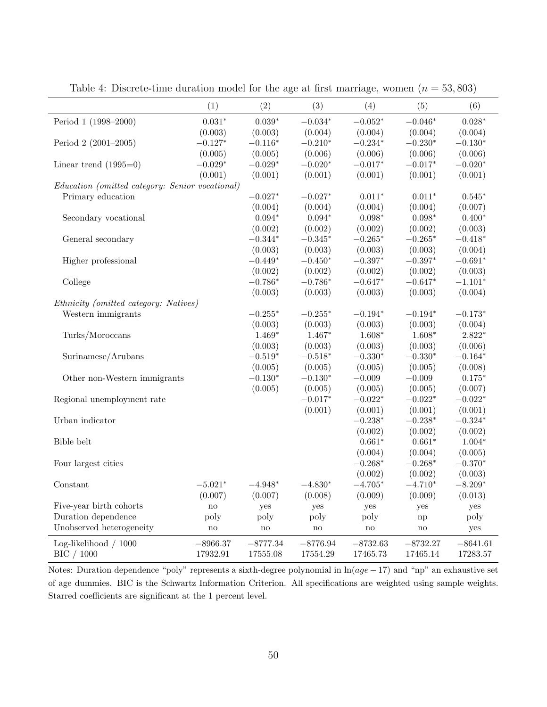|                                                 | (1)           | (2)           | (3)           | (4)        | (5)                 | (6)        |
|-------------------------------------------------|---------------|---------------|---------------|------------|---------------------|------------|
| Period 1 (1998-2000)                            | $0.031*$      | $0.039*$      | $-0.034*$     | $-0.052*$  | $-0.046*$           | $0.028*$   |
|                                                 | (0.003)       | (0.003)       | (0.004)       | (0.004)    | (0.004)             | (0.004)    |
| Period 2 (2001-2005)                            | $-0.127*$     | $-0.116*$     | $-0.210*$     | $-0.234*$  | $-0.230*$           | $-0.130*$  |
|                                                 | (0.005)       | (0.005)       | (0.006)       | (0.006)    | (0.006)             | (0.006)    |
| Linear trend $(1995=0)$                         | $-0.029*$     | $-0.029*$     | $-0.020*$     | $-0.017*$  | $-0.017*$           | $-0.020*$  |
|                                                 | (0.001)       | (0.001)       | (0.001)       | (0.001)    | (0.001)             | (0.001)    |
| Education (omitted category: Senior vocational) |               |               |               |            |                     |            |
| Primary education                               |               | $-0.027*$     | $-0.027*$     | $0.011*$   | $0.011*$            | $0.545*$   |
|                                                 |               | (0.004)       | (0.004)       | (0.004)    | (0.004)             | (0.007)    |
| Secondary vocational                            |               | $0.094*$      | $0.094*$      | $0.098*$   | $0.098*$            | $0.400*$   |
|                                                 |               | (0.002)       | (0.002)       | (0.002)    | (0.002)             | (0.003)    |
| General secondary                               |               | $-0.344*$     | $-0.345*$     | $-0.265*$  | $-0.265*$           | $-0.418*$  |
|                                                 |               | (0.003)       | (0.003)       | (0.003)    | (0.003)             | (0.004)    |
| Higher professional                             |               | $-0.449*$     | $-0.450*$     | $-0.397*$  | $-0.397*$           | $-0.691*$  |
|                                                 |               | (0.002)       | (0.002)       | (0.002)    | (0.002)             | (0.003)    |
| College                                         |               | $-0.786*$     | $-0.786*$     | $-0.647*$  | $-0.647*$           | $-1.101*$  |
|                                                 |               | (0.003)       | (0.003)       | (0.003)    | (0.003)             | (0.004)    |
| Ethnicity (omitted category: Natives)           |               |               |               |            |                     |            |
| Western immigrants                              |               | $-0.255*$     | $-0.255*$     | $-0.194*$  | $-0.194*$           | $-0.173*$  |
|                                                 |               | (0.003)       | (0.003)       | (0.003)    | (0.003)             | (0.004)    |
| Turks/Moroccans                                 |               | $1.469*$      | $1.467*$      | $1.608*$   | $1.608*$            | $2.822*$   |
|                                                 |               | (0.003)       | (0.003)       | (0.003)    | (0.003)             | (0.006)    |
| Surinamese/Arubans                              |               | $-0.519*$     | $-0.518*$     | $-0.330*$  | $-0.330*$           | $-0.164*$  |
|                                                 |               | (0.005)       | (0.005)       | (0.005)    | (0.005)             | (0.008)    |
| Other non-Western immigrants                    |               | $-0.130*$     | $-0.130*$     | $-0.009$   | $-0.009$            | $0.175*$   |
|                                                 |               | (0.005)       | (0.005)       | (0.005)    | (0.005)             | (0.007)    |
| Regional unemployment rate                      |               |               | $-0.017*$     | $-0.022*$  | $-0.022*$           | $-0.022*$  |
|                                                 |               |               | (0.001)       | (0.001)    | (0.001)             | (0.001)    |
| Urban indicator                                 |               |               |               | $-0.238*$  | $-0.238*$           | $-0.324*$  |
|                                                 |               |               |               | (0.002)    | (0.002)             | (0.002)    |
| Bible belt                                      |               |               |               | $0.661*$   | $0.661*$            | $1.004*$   |
|                                                 |               |               |               | (0.004)    | (0.004)             | (0.005)    |
| Four largest cities                             |               |               |               | $-0.268*$  | $-0.268*$           | $-0.370*$  |
|                                                 |               |               |               | (0.002)    | (0.002)             | (0.003)    |
| Constant                                        | $-5.021*$     | $-4.948*$     | $-4.830*$     | $-4.705*$  | $-4.710*$           | $-8.209*$  |
|                                                 | (0.007)       | (0.007)       | (0.008)       | (0.009)    | (0.009)             | (0.013)    |
| Five-year birth cohorts                         | $\mathbf{no}$ | yes           | yes           | yes        | yes                 | yes        |
| Duration dependence                             | poly          | poly          | poly          | poly       | np                  | poly       |
| Unobserved heterogeneity                        | $\mathbf{no}$ | $\mathbf{no}$ | $\mathbf{no}$ | no         | $\operatorname{no}$ | yes        |
| Log-likelihood / 1000                           | $-8966.37$    | $-8777.34$    | $-8776.94$    | $-8732.63$ | $-8732.27$          | $-8641.61$ |
| BIC / 1000                                      | 17932.91      | 17555.08      | 17554.29      | 17465.73   | 17465.14            | 17283.57   |

Table 4: Discrete-time duration model for the age at first marriage, women  $(n = 53, 803)$ 

Notes: Duration dependence "poly" represents a sixth-degree polynomial in  $ln(age - 17)$  and "np" an exhaustive set of age dummies. BIC is the Schwartz Information Criterion. All specifications are weighted using sample weights. Starred coefficients are significant at the 1 percent level.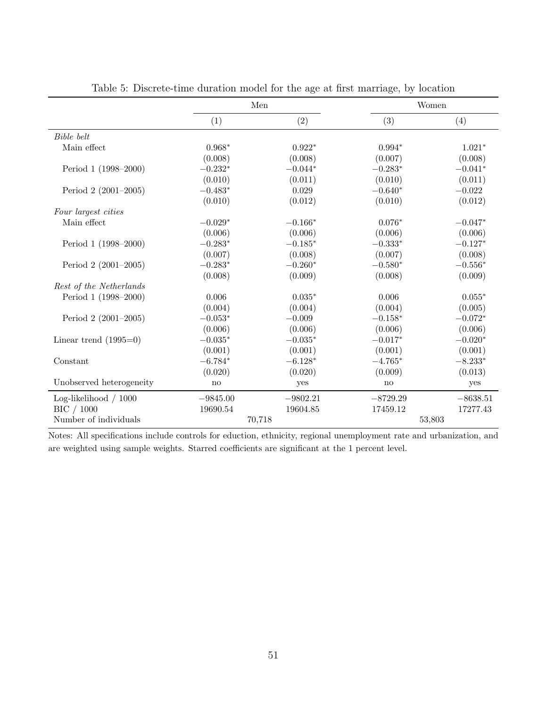|                          | Men                 |            | Women      |            |
|--------------------------|---------------------|------------|------------|------------|
|                          | (1)                 | (2)        | (3)        | (4)        |
| Bible belt               |                     |            |            |            |
| Main effect              | $0.968*$            | $0.922*$   | $0.994*$   | $1.021*$   |
|                          | (0.008)             | (0.008)    | (0.007)    | (0.008)    |
| Period 1 (1998–2000)     | $-0.232*$           | $-0.044*$  | $-0.283*$  | $-0.041*$  |
|                          | (0.010)             | (0.011)    | (0.010)    | (0.011)    |
| Period 2 (2001–2005)     | $-0.483*$           | 0.029      | $-0.640*$  | $-0.022$   |
|                          | (0.010)             | (0.012)    | (0.010)    | (0.012)    |
| Four largest cities      |                     |            |            |            |
| Main effect              | $-0.029*$           | $-0.166*$  | $0.076*$   | $-0.047*$  |
|                          | (0.006)             | (0.006)    | (0.006)    | (0.006)    |
| Period 1 (1998-2000)     | $-0.283*$           | $-0.185*$  | $-0.333*$  | $-0.127*$  |
|                          | (0.007)             | (0.008)    | (0.007)    | (0.008)    |
| Period 2 (2001-2005)     | $-0.283*$           | $-0.260*$  | $-0.580*$  | $-0.556*$  |
|                          | (0.008)             | (0.009)    | (0.008)    | (0.009)    |
| Rest of the Netherlands  |                     |            |            |            |
| Period 1 (1998-2000)     | 0.006               | $0.035*$   | 0.006      | $0.055*$   |
|                          | (0.004)             | (0.004)    | (0.004)    | (0.005)    |
| Period $2(2001-2005)$    | $-0.053*$           | $-0.009$   | $-0.158*$  | $-0.072*$  |
|                          | (0.006)             | (0.006)    | (0.006)    | (0.006)    |
| Linear trend $(1995=0)$  | $-0.035*$           | $-0.035*$  | $-0.017*$  | $-0.020*$  |
|                          | (0.001)             | (0.001)    | (0.001)    | (0.001)    |
| Constant                 | $-6.784*$           | $-6.128*$  | $-4.765*$  | $-8.233*$  |
|                          | (0.020)             | (0.020)    | (0.009)    | (0.013)    |
| Unobserved heterogeneity | $\operatorname{no}$ | yes        | no         | yes        |
| Log-likelihood / 1000    | $-9845.00$          | $-9802.21$ | $-8729.29$ | $-8638.51$ |
| BIC / 1000               | 19690.54            | 19604.85   | 17459.12   | 17277.43   |
| Number of individuals    |                     | 70,718     |            | 53,803     |

Table 5: Discrete-time duration model for the age at first marriage, by location

Notes: All specifications include controls for eduction, ethnicity, regional unemployment rate and urbanization, and are weighted using sample weights. Starred coefficients are significant at the 1 percent level.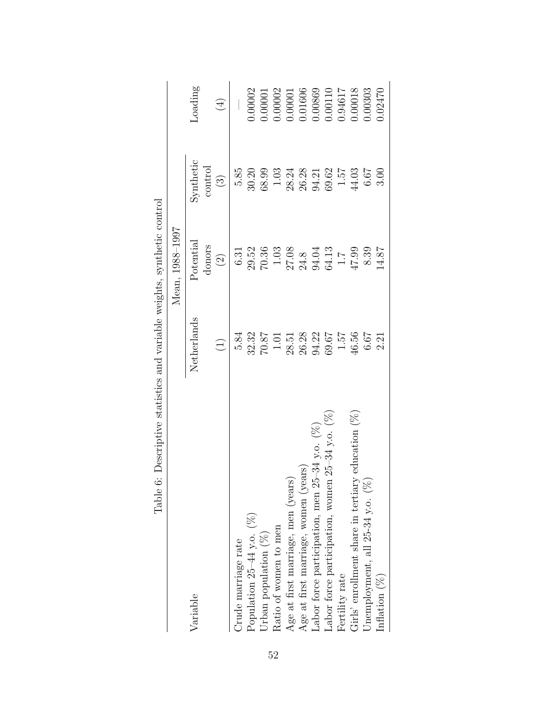| Tanic O. Describire status and variations weights, synthetic control |                                          |                                                                               |                                  |                                                                                    |
|----------------------------------------------------------------------|------------------------------------------|-------------------------------------------------------------------------------|----------------------------------|------------------------------------------------------------------------------------|
|                                                                      |                                          | Mean, 1988-1997                                                               |                                  |                                                                                    |
| Variable                                                             | Netherlands                              | Potential                                                                     | Synthetic                        | Loading                                                                            |
|                                                                      | $\bigoplus$                              | donors<br>$\odot$                                                             | control<br>$\bigodot$            | $\bigoplus$                                                                        |
| Orude marriage rate                                                  | 5.84                                     | 6.31                                                                          | 5.85                             |                                                                                    |
| Population $25-44$ y.o. $(%)$                                        |                                          |                                                                               | 30.20                            | 0.00002                                                                            |
| Urban population $(\%)$                                              | $\frac{32.32}{70.87}$                    | 29.52<br>70.36                                                                | 68.99                            | 0.00001                                                                            |
| Ratio of women to men                                                |                                          |                                                                               | $1.03\,$                         |                                                                                    |
| Age at first marriage, men (years)                                   | $28.51$<br>$26.28$<br>$94.22$<br>$60.67$ | $\begin{array}{c} 1.03 \\ 27.08 \\ 24.8 \\ 94.04 \\ 64.13 \\ 1.7 \end{array}$ | 28.24<br>26.25<br>29.52<br>69.62 | $\begin{array}{c} 0.00002 \\ 0.00001 \\ 0.01606 \\ 0.00869 \\ 0.00110 \end{array}$ |
| Age at first marriage, women (years)                                 |                                          |                                                                               |                                  |                                                                                    |
| Labor force participation, men 25-34 y.o. $(\%)$                     |                                          |                                                                               |                                  |                                                                                    |
| $125-34$ y.o. $(%$<br>Labor force participation, women               |                                          |                                                                               |                                  |                                                                                    |
| Fertility rate                                                       | 1.57                                     |                                                                               | $7\ddot{c}\cdot1$                | 1.94617                                                                            |
| Girls' enrollment share in tertiary education $(\%)$                 | 46.56                                    | 47.99                                                                         | $44.03$                          | 0.00018                                                                            |
| Unemployment, all $25-34$ y.o. $(%$                                  | 6.67                                     | 8.39                                                                          | 6.67                             | 0.00303                                                                            |
| Inflation $(\%)$                                                     | 2.21                                     | 14.87                                                                         | 3.00                             | 0.02470                                                                            |

Table 6: Descriptive statistics and variable weights, synthetic control Table 6: Descriptive statistics and variable weights, synthetic control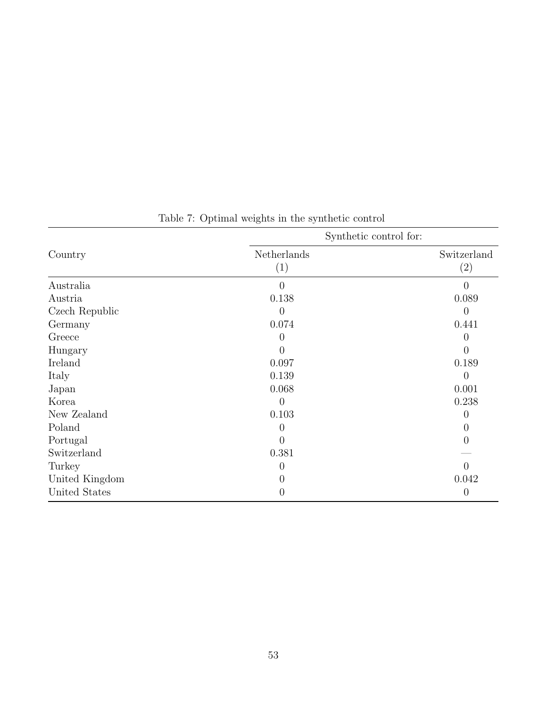|                | Synthetic control for: |                |
|----------------|------------------------|----------------|
| Country        | Netherlands            | Switzerland    |
|                | (1)                    | (2)            |
| Australia      | $\theta$               | $\overline{0}$ |
| Austria        | 0.138                  | 0.089          |
| Czech Republic | $\left($               | $\overline{0}$ |
| Germany        | 0.074                  | 0.441          |
| Greece         | $\left( \right)$       | $\overline{0}$ |
| Hungary        |                        | $\theta$       |
| Ireland        | 0.097                  | 0.189          |
| Italy          | 0.139                  | $\overline{0}$ |
| Japan          | 0.068                  | 0.001          |
| Korea          | $\left( \right)$       | 0.238          |
| New Zealand    | 0.103                  | 0              |
| Poland         | $\left( \right)$       | 0              |
| Portugal       | $\left( \right)$       | 0              |
| Switzerland    | 0.381                  |                |
| Turkey         | $\left( \right)$       | $\Omega$       |
| United Kingdom |                        | 0.042          |
| United States  |                        | $\overline{0}$ |

Table 7: Optimal weights in the synthetic control